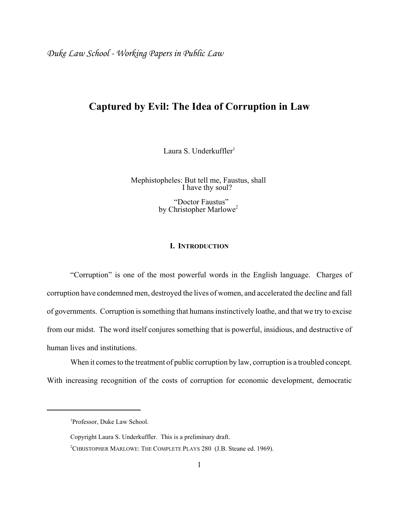*Duke Law School - Working Papers in Public Law*

# **Captured by Evil: The Idea of Corruption in Law**

Laura S. Underkuffler<sup>1</sup>

Mephistopheles: But tell me, Faustus, shall I have thy soul?

> "Doctor Faustus" by Christopher Marlowe<sup>2</sup>

# **I. INTRODUCTION**

"Corruption" is one of the most powerful words in the English language. Charges of corruption have condemned men, destroyed the lives of women, and accelerated the decline and fall of governments. Corruption is something that humans instinctively loathe, and that we try to excise from our midst. The word itself conjures something that is powerful, insidious, and destructive of human lives and institutions.

When it comes to the treatment of public corruption by law, corruption is a troubled concept. With increasing recognition of the costs of corruption for economic development, democratic

<sup>1</sup> Professor, Duke Law School.

Copyright Laura S. Underkuffler. This is a preliminary draft. <sup>2</sup>CHRISTOPHER MARLOWE: THE COMPLETE PLAYS 280 (J.B. Steane ed. 1969).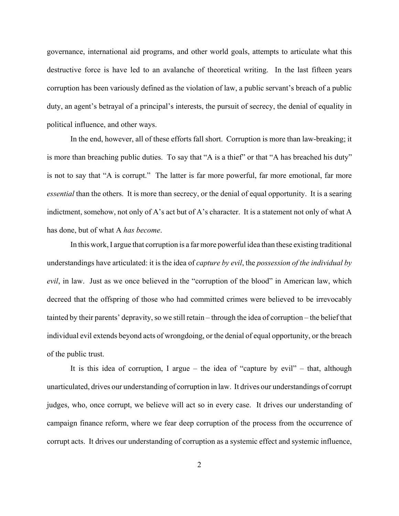governance, international aid programs, and other world goals, attempts to articulate what this destructive force is have led to an avalanche of theoretical writing. In the last fifteen years corruption has been variously defined as the violation of law, a public servant's breach of a public duty, an agent's betrayal of a principal's interests, the pursuit of secrecy, the denial of equality in political influence, and other ways.

In the end, however, all of these efforts fall short. Corruption is more than law-breaking; it is more than breaching public duties. To say that "A is a thief" or that "A has breached his duty" is not to say that "A is corrupt." The latter is far more powerful, far more emotional, far more *essential* than the others. It is more than secrecy, or the denial of equal opportunity. It is a searing indictment, somehow, not only of A's act but of A's character. It is a statement not only of what A has done, but of what A *has become*.

In this work, I argue that corruption is a far more powerful idea than these existing traditional understandings have articulated: it is the idea of *capture by evil*, the *possession of the individual by evil*, in law. Just as we once believed in the "corruption of the blood" in American law, which decreed that the offspring of those who had committed crimes were believed to be irrevocably tainted by their parents' depravity, so we still retain – through the idea of corruption – the belief that individual evil extends beyond acts of wrongdoing, or the denial of equal opportunity, or the breach of the public trust.

It is this idea of corruption, I argue – the idea of "capture by evil" – that, although unarticulated, drives our understanding of corruption in law. It drives our understandings of corrupt judges, who, once corrupt, we believe will act so in every case. It drives our understanding of campaign finance reform, where we fear deep corruption of the process from the occurrence of corrupt acts. It drives our understanding of corruption as a systemic effect and systemic influence,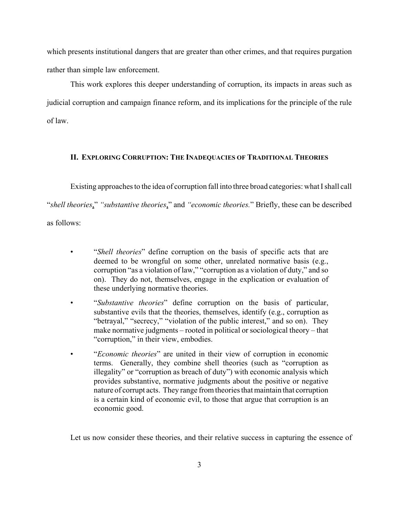which presents institutional dangers that are greater than other crimes, and that requires purgation rather than simple law enforcement.

This work explores this deeper understanding of corruption, its impacts in areas such as judicial corruption and campaign finance reform, and its implications for the principle of the rule of law.

# **II. EXPLORING CORRUPTION: THE INADEQUACIES OF TRADITIONAL THEORIES**

Existing approaches to the idea of corruption fall into three broad categories: what I shall call "*shell theories*," *"substantive theories*," and *"economic theories.*" Briefly, these can be described as follows:

- "*Shell theories*" define corruption on the basis of specific acts that are deemed to be wrongful on some other, unrelated normative basis (e.g., corruption "as a violation of law," "corruption as a violation of duty," and so on). They do not, themselves, engage in the explication or evaluation of these underlying normative theories.
- "*Substantive theories*" define corruption on the basis of particular, substantive evils that the theories, themselves, identify (e.g., corruption as "betrayal," "secrecy," "violation of the public interest," and so on). They make normative judgments – rooted in political or sociological theory – that "corruption," in their view, embodies.
- "*Economic theories*" are united in their view of corruption in economic terms. Generally, they combine shell theories (such as "corruption as illegality" or "corruption as breach of duty") with economic analysis which provides substantive, normative judgments about the positive or negative nature of corrupt acts. They range from theories that maintain that corruption is a certain kind of economic evil, to those that argue that corruption is an economic good.

Let us now consider these theories, and their relative success in capturing the essence of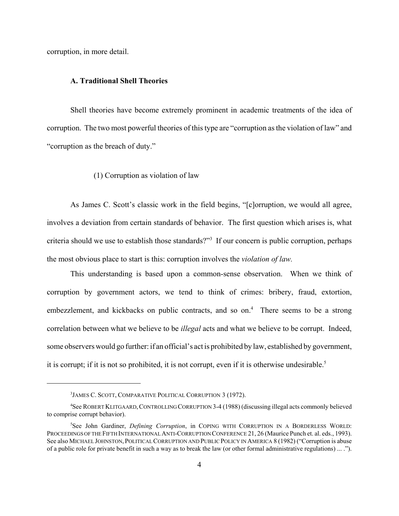corruption, in more detail.

#### **A. Traditional Shell Theories**

Shell theories have become extremely prominent in academic treatments of the idea of corruption. The two most powerful theories of this type are "corruption as the violation of law" and "corruption as the breach of duty."

# (1) Corruption as violation of law

As James C. Scott's classic work in the field begins, "[c]orruption, we would all agree, involves a deviation from certain standards of behavior. The first question which arises is, what criteria should we use to establish those standards?"<sup>3</sup> If our concern is public corruption, perhaps the most obvious place to start is this: corruption involves the *violation of law.* 

This understanding is based upon a common-sense observation. When we think of corruption by government actors, we tend to think of crimes: bribery, fraud, extortion, embezzlement, and kickbacks on public contracts, and so on.<sup>4</sup> There seems to be a strong correlation between what we believe to be *illegal* acts and what we believe to be corrupt. Indeed, some observers would go further: if an official's act is prohibited by law, established by government, it is corrupt; if it is not so prohibited, it is not corrupt, even if it is otherwise undesirable.<sup>5</sup>

<sup>3</sup> JAMES C. SCOTT, COMPARATIVE POLITICAL CORRUPTION 3 (1972).

<sup>4</sup> See ROBERT KLITGAARD,CONTROLLING CORRUPTION 3-4 (1988) (discussing illegal acts commonly believed to comprise corrupt behavior).

<sup>5</sup> See John Gardiner, *Defining Corruption*, in COPING WITH CORRUPTION IN A BORDERLESS WORLD: PROCEEDINGS OF THE FIFTH INTERNATIONAL ANTI-CORRUPTION CONFERENCE 21, 26 (Maurice Punch et. al. eds., 1993). See also MICHAEL JOHNSTON, POLITICAL CORRUPTION AND PUBLIC POLICY IN AMERICA 8 (1982) ("Corruption is abuse of a public role for private benefit in such a way as to break the law (or other formal administrative regulations) ... .").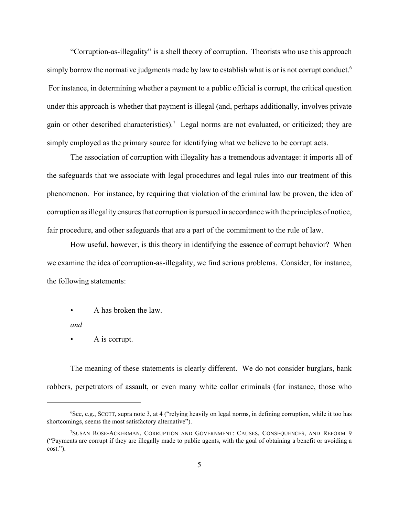"Corruption-as-illegality" is a shell theory of corruption. Theorists who use this approach simply borrow the normative judgments made by law to establish what is or is not corrupt conduct.<sup>6</sup> For instance, in determining whether a payment to a public official is corrupt, the critical question under this approach is whether that payment is illegal (and, perhaps additionally, involves private gain or other described characteristics).<sup>7</sup> Legal norms are not evaluated, or criticized; they are simply employed as the primary source for identifying what we believe to be corrupt acts.

The association of corruption with illegality has a tremendous advantage: it imports all of the safeguards that we associate with legal procedures and legal rules into our treatment of this phenomenon. For instance, by requiring that violation of the criminal law be proven, the idea of corruption as illegality ensures that corruption is pursued in accordance with the principles of notice, fair procedure, and other safeguards that are a part of the commitment to the rule of law.

How useful, however, is this theory in identifying the essence of corrupt behavior? When we examine the idea of corruption-as-illegality, we find serious problems. Consider, for instance, the following statements:

• A has broken the law.

*and*

A is corrupt.

The meaning of these statements is clearly different. We do not consider burglars, bank robbers, perpetrators of assault, or even many white collar criminals (for instance, those who

<sup>6</sup> See, e.g., SCOTT, supra note 3, at 4 ("relying heavily on legal norms, in defining corruption, while it too has shortcomings, seems the most satisfactory alternative").

<sup>7</sup> SUSAN ROSE-ACKERMAN, CORRUPTION AND GOVERNMENT: CAUSES, CONSEQUENCES, AND REFORM 9 ("Payments are corrupt if they are illegally made to public agents, with the goal of obtaining a benefit or avoiding a cost.").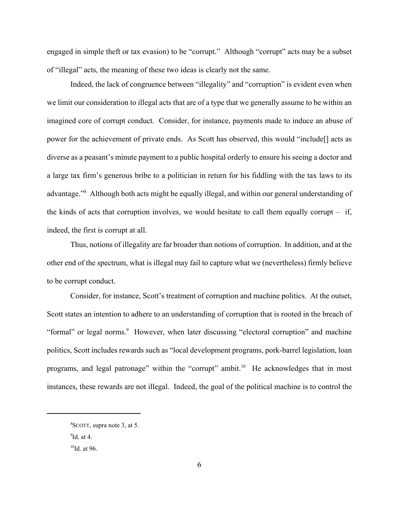engaged in simple theft or tax evasion) to be "corrupt." Although "corrupt" acts may be a subset of "illegal" acts, the meaning of these two ideas is clearly not the same.

Indeed, the lack of congruence between "illegality" and "corruption" is evident even when we limit our consideration to illegal acts that are of a type that we generally assume to be within an imagined core of corrupt conduct. Consider, for instance, payments made to induce an abuse of power for the achievement of private ends. As Scott has observed, this would "include[] acts as diverse as a peasant's minute payment to a public hospital orderly to ensure his seeing a doctor and a large tax firm's generous bribe to a politician in return for his fiddling with the tax laws to its advantage."<sup>8</sup> Although both acts might be equally illegal, and within our general understanding of the kinds of acts that corruption involves, we would hesitate to call them equally corrupt  $-$  if, indeed, the first is corrupt at all.

Thus, notions of illegality are far broader than notions of corruption. In addition, and at the other end of the spectrum, what is illegal may fail to capture what we (nevertheless) firmly believe to be corrupt conduct.

Consider, for instance, Scott's treatment of corruption and machine politics. At the outset, Scott states an intention to adhere to an understanding of corruption that is rooted in the breach of "formal" or legal norms.<sup>9</sup> However, when later discussing "electoral corruption" and machine politics, Scott includes rewards such as "local development programs, pork-barrel legislation, loan programs, and legal patronage" within the "corrupt" ambit.<sup>10</sup> He acknowledges that in most instances, these rewards are not illegal. Indeed, the goal of the political machine is to control the

<sup>8</sup> SCOTT, supra note 3, at 5. <sup>9</sup>Id. at 4.  $10$ Id. at 96.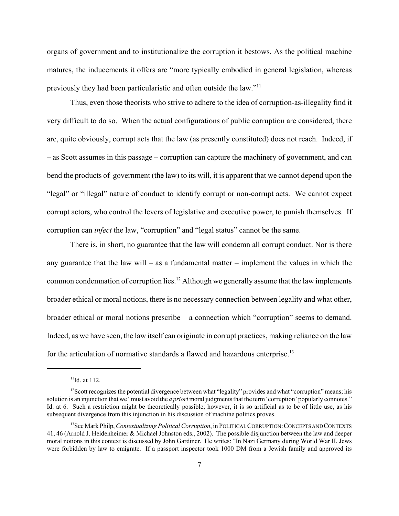organs of government and to institutionalize the corruption it bestows. As the political machine matures, the inducements it offers are "more typically embodied in general legislation, whereas previously they had been particularistic and often outside the law."11

Thus, even those theorists who strive to adhere to the idea of corruption-as-illegality find it very difficult to do so. When the actual configurations of public corruption are considered, there are, quite obviously, corrupt acts that the law (as presently constituted) does not reach. Indeed, if – as Scott assumes in this passage – corruption can capture the machinery of government, and can bend the products of government (the law) to its will, it is apparent that we cannot depend upon the "legal" or "illegal" nature of conduct to identify corrupt or non-corrupt acts. We cannot expect corrupt actors, who control the levers of legislative and executive power, to punish themselves. If corruption can *infect* the law, "corruption" and "legal status" cannot be the same.

There is, in short, no guarantee that the law will condemn all corrupt conduct. Nor is there any guarantee that the law will – as a fundamental matter – implement the values in which the common condemnation of corruption lies.12 Although we generally assume that the law implements broader ethical or moral notions, there is no necessary connection between legality and what other, broader ethical or moral notions prescribe – a connection which "corruption" seems to demand. Indeed, as we have seen, the law itself can originate in corrupt practices, making reliance on the law for the articulation of normative standards a flawed and hazardous enterprise.<sup>13</sup>

 $11$ Id. at 112.

<sup>&</sup>lt;sup>12</sup>Scott recognizes the potential divergence between what "legality" provides and what "corruption" means; his solution is an injunction that we "must avoid the *a priori* moral judgments that the term 'corruption' popularly connotes." Id. at 6. Such a restriction might be theoretically possible; however, it is so artificial as to be of little use, as his subsequent divergence from this injunction in his discussion of machine politics proves.

<sup>13</sup>See Mark Philp, *Contextualizing Political Corruption*, in POLITICAL CORRUPTION:CONCEPTS AND CONTEXTS 41, 46 (Arnold J. Heidenheimer & Michael Johnston eds., 2002). The possible disjunction between the law and deeper moral notions in this context is discussed by John Gardiner. He writes: "In Nazi Germany during World War II, Jews were forbidden by law to emigrate. If a passport inspector took 1000 DM from a Jewish family and approved its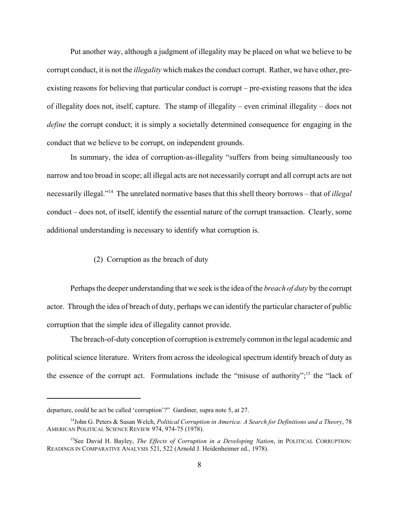Put another way, although a judgment of illegality may be placed on what we believe to be corrupt conduct, it is not the *illegality* which makes the conduct corrupt. Rather, we have other, preexisting reasons for believing that particular conduct is corrupt – pre-existing reasons that the idea of illegality does not, itself, capture. The stamp of illegality – even criminal illegality – does not *define* the corrupt conduct; it is simply a societally determined consequence for engaging in the conduct that we believe to be corrupt, on independent grounds.

In summary, the idea of corruption-as-illegality "suffers from being simultaneously too narrow and too broad in scope; all illegal acts are not necessarily corrupt and all corrupt acts are not necessarily illegal."14 The unrelated normative bases that this shell theory borrows – that of *illegal* conduct – does not, of itself, identify the essential nature of the corrupt transaction. Clearly, some additional understanding is necessary to identify what corruption is.

# (2) Corruption as the breach of duty

Perhaps the deeper understanding that we seek is the idea of the *breach of duty* by the corrupt actor. Through the idea of breach of duty, perhaps we can identify the particular character of public corruption that the simple idea of illegality cannot provide.

The breach-of-duty conception of corruption is extremely common in the legal academic and political science literature. Writers from across the ideological spectrum identify breach of duty as the essence of the corrupt act. Formulations include the "misuse of authority";15 the "lack of

departure, could he act be called 'corruption'?" Gardiner, supra note 5, at 27.

<sup>14</sup>John G. Peters & Susan Welch, *Political Corruption in America: A Search for Definitions and a Theory*, 78 AMERICAN POLITICAL SCIENCE REVIEW 974, 974-75 (1978).

<sup>&</sup>lt;sup>15</sup>See David H. Bayley, *The Effects of Corruption in a Developing Nation*, in POLITICAL CORRUPTION: READINGS IN COMPARATIVE ANALYSIS 521, 522 (Arnold J. Heidenheimer ed., 1978).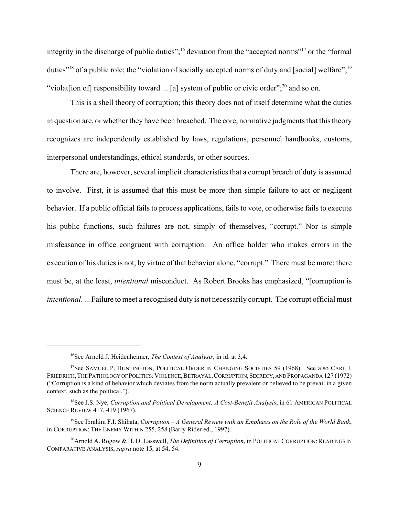integrity in the discharge of public duties";<sup>16</sup> deviation from the "accepted norms"<sup>17</sup> or the "formal" duties"<sup>18</sup> of a public role; the "violation of socially accepted norms of duty and [social] welfare";<sup>19</sup> "violater";<sup>20</sup> and so on.  $\lceil a \rceil$  responsibility toward ...  $\lceil a \rceil$  system of public or civic order";<sup>20</sup> and so on.

This is a shell theory of corruption; this theory does not of itself determine what the duties in question are, or whether they have been breached. The core, normative judgments that this theory recognizes are independently established by laws, regulations, personnel handbooks, customs, interpersonal understandings, ethical standards, or other sources.

There are, however, several implicit characteristics that a corrupt breach of duty is assumed to involve. First, it is assumed that this must be more than simple failure to act or negligent behavior. If a public official fails to process applications, fails to vote, or otherwise fails to execute his public functions, such failures are not, simply of themselves, "corrupt." Nor is simple misfeasance in office congruent with corruption. An office holder who makes errors in the execution of his duties is not, by virtue of that behavior alone, "corrupt." There must be more: there must be, at the least, *intentional* misconduct. As Robert Brooks has emphasized, "[corruption is *intentional.* ... Failure to meet a recognised duty is not necessarily corrupt. The corrupt official must

<sup>16</sup>See Arnold J. Heidenheimer, *The Context of Analysis*, in id. at 3,4.

<sup>&</sup>lt;sup>17</sup>See SAMUEL P. HUNTINGTON, POLITICAL ORDER IN CHANGING SOCIETIES 59 (1968). See also CARL J. FRIEDRICH, THE PATHOLOGY OF POLITICS: VIOLENCE, BETRAYAL, CORRUPTION, SECRECY, AND PROPAGANDA 127 (1972) ("Corruption is a kind of behavior which deviates from the norm actually prevalent or believed to be prevail in a given context, such as the political.").

<sup>&</sup>lt;sup>18</sup>See J.S. Nye, *Corruption and Political Development: A Cost-Benefit Analysis*, in 61 AMERICAN POLITICAL SCIENCE REVIEW 417, 419 (1967).

<sup>19</sup>See Ibrahim F.I. Shihata, *Corruption – A General Review with an Emphasis on the Role of the World Bank*, in CORRUPTION: THE ENEMY WITHIN 255, 258 (Barry Rider ed., 1997).

<sup>&</sup>lt;sup>20</sup>Arnold A. Rogow & H. D. Lasswell, *The Definition of Corruption*, in POLITICAL CORRUPTION: READINGS IN COMPARATIVE ANALYSIS, *supra* note 15, at 54, 54.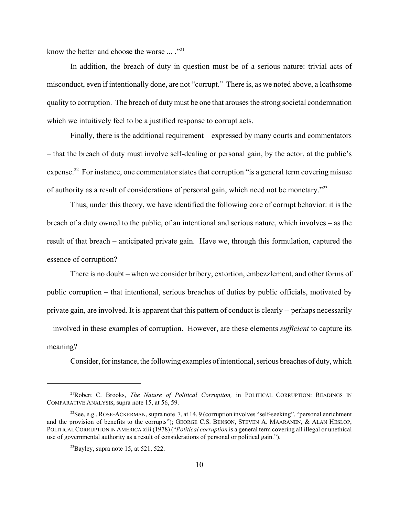know the better and choose the worse ... ."21

In addition, the breach of duty in question must be of a serious nature: trivial acts of misconduct, even if intentionally done, are not "corrupt." There is, as we noted above, a loathsome quality to corruption. The breach of duty must be one that arouses the strong societal condemnation which we intuitively feel to be a justified response to corrupt acts.

Finally, there is the additional requirement – expressed by many courts and commentators – that the breach of duty must involve self-dealing or personal gain, by the actor, at the public's expense.<sup>22</sup> For instance, one commentator states that corruption "is a general term covering misuse of authority as a result of considerations of personal gain, which need not be monetary."23

Thus, under this theory, we have identified the following core of corrupt behavior: it is the breach of a duty owned to the public, of an intentional and serious nature, which involves – as the result of that breach – anticipated private gain. Have we, through this formulation, captured the essence of corruption?

There is no doubt – when we consider bribery, extortion, embezzlement, and other forms of public corruption – that intentional, serious breaches of duties by public officials, motivated by private gain, are involved. It is apparent that this pattern of conduct is clearly -- perhaps necessarily – involved in these examples of corruption. However, are these elements *sufficient* to capture its meaning?

Consider, for instance, the following examples of intentional, serious breaches of duty, which

<sup>21</sup>Robert C. Brooks, *The Nature of Political Corruption,* in POLITICAL CORRUPTION: READINGS IN COMPARATIVE ANALYSIS, supra note 15, at 56, 59.

<sup>&</sup>lt;sup>22</sup>See, e.g., ROSE-ACKERMAN, supra note 7, at 14, 9 (corruption involves "self-seeking", "personal enrichment and the provision of benefits to the corrupts"); GEORGE C.S. BENSON, STEVEN A. MAARANEN, & ALAN HESLOP, POLITICAL CORRUPTION IN AMERICA xiii (1978) ("*Political corruption* is a general term covering all illegal or unethical use of governmental authority as a result of considerations of personal or political gain.").

 $^{23}$ Bayley, supra note 15, at 521, 522.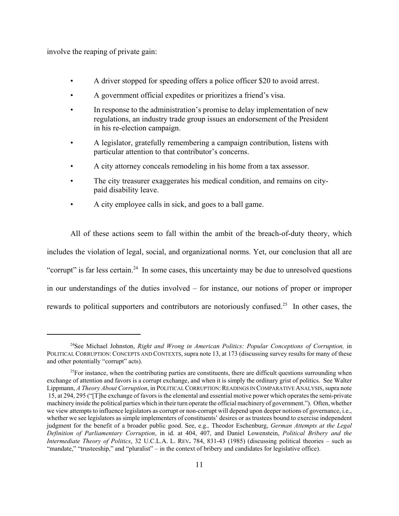involve the reaping of private gain:

- A driver stopped for speeding offers a police officer \$20 to avoid arrest.
- A government official expedites or prioritizes a friend's visa.
- In response to the administration's promise to delay implementation of new regulations, an industry trade group issues an endorsement of the President in his re-election campaign.
- A legislator, gratefully remembering a campaign contribution, listens with particular attention to that contributor's concerns.
- A city attorney conceals remodeling in his home from a tax assessor.
- The city treasurer exaggerates his medical condition, and remains on citypaid disability leave.
- A city employee calls in sick, and goes to a ball game.

All of these actions seem to fall within the ambit of the breach-of-duty theory, which includes the violation of legal, social, and organizational norms. Yet, our conclusion that all are "corrupt" is far less certain.<sup>24</sup> In some cases, this uncertainty may be due to unresolved questions in our understandings of the duties involved – for instance, our notions of proper or improper rewards to political supporters and contributors are notoriously confused.<sup>25</sup> In other cases, the

<sup>24</sup>See Michael Johnston, *Right and Wrong in American Politics: Popular Conceptions of Corruption,* in POLITICAL CORRUPTION: CONCEPTS AND CONTEXTS, supra note 13, at 173 (discussing survey results for many of these and other potentially "corrupt" acts).

 $25$ For instance, when the contributing parties are constituents, there are difficult questions surrounding when exchange of attention and favors is a corrupt exchange, and when it is simply the ordinary grist of politics. See Walter Lippmann, *A Theory About Corruption*, in POLITICAL CORRUPTION: READINGS IN COMPARATIVE ANALYSIS, supra note 15, at 294, 295 ("[T]he exchange of favors is the elemental and essential motive power which operates the semi-private machinery inside the political parties which in their turn operate the official machinery of government."). Often, whether we view attempts to influence legislators as corrupt or non-corrupt will depend upon deeper notions of governance, i.e., whether we see legislators as simple implementers of constituents' desires or as trustees bound to exercise independent judgment for the benefit of a broader public good. See, e.g.*,* Theodor Eschenburg, *German Attempts at the Legal Definition of Parliamentary Corruption*, in id. at 404, 407, and Daniel Lowenstein, *Political Bribery and the Intermediate Theory of Politics*, 32 U.C.L.A. L. REV**.** 784, 831-43 (1985) (discussing political theories – such as "mandate," "trusteeship," and "pluralist" – in the context of bribery and candidates for legislative office).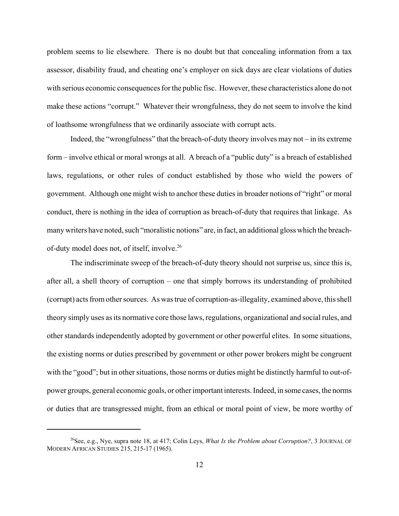problem seems to lie elsewhere. There is no doubt but that concealing information from a tax assessor, disability fraud, and cheating one's employer on sick days are clear violations of duties with serious economic consequences for the public fisc. However, these characteristics alone do not make these actions "corrupt." Whatever their wrongfulness, they do not seem to involve the kind of loathsome wrongfulness that we ordinarily associate with corrupt acts.

Indeed, the "wrongfulness" that the breach-of-duty theory involves may not – in its extreme form – involve ethical or moral wrongs at all. A breach of a "public duty" is a breach of established laws, regulations, or other rules of conduct established by those who wield the powers of government. Although one might wish to anchor these duties in broader notions of "right" or moral conduct, there is nothing in the idea of corruption as breach-of-duty that requires that linkage. As many writers have noted, such "moralistic notions" are, in fact, an additional gloss which the breachof-duty model does not, of itself, involve.26

The indiscriminate sweep of the breach-of-duty theory should not surprise us, since this is, after all, a shell theory of corruption – one that simply borrows its understanding of prohibited (corrupt) acts from other sources. As was true of corruption-as-illegality, examined above, this shell theory simply uses as its normative core those laws, regulations, organizational and social rules, and other standards independently adopted by government or other powerful elites. In some situations, the existing norms or duties prescribed by government or other power brokers might be congruent with the "good"; but in other situations, those norms or duties might be distinctly harmful to out-ofpower groups, general economic goals, or other important interests. Indeed, in some cases, the norms or duties that are transgressed might, from an ethical or moral point of view, be more worthy of

<sup>26</sup>See, e.g., Nye, supra note 18, at 417; Colin Leys, *What Is the Problem about Corruption?*, 3 JOURNAL OF MODERN AFRICAN STUDIES 215, 215-17 (1965).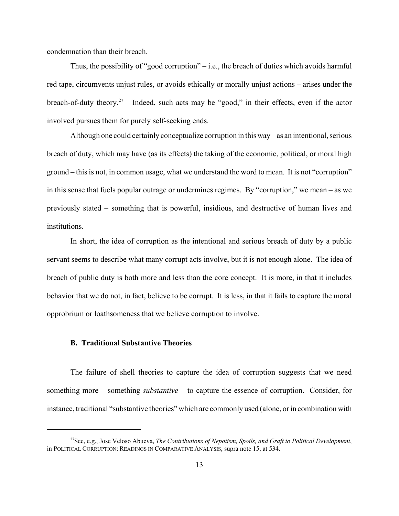condemnation than their breach.

Thus, the possibility of "good corruption" – i.e., the breach of duties which avoids harmful red tape, circumvents unjust rules, or avoids ethically or morally unjust actions – arises under the breach-of-duty theory.27 Indeed, such acts may be "good," in their effects, even if the actor involved pursues them for purely self-seeking ends.

Although one could certainly conceptualize corruption in this way – as an intentional, serious breach of duty, which may have (as its effects) the taking of the economic, political, or moral high ground – this is not, in common usage, what we understand the word to mean. It is not "corruption" in this sense that fuels popular outrage or undermines regimes. By "corruption," we mean – as we previously stated – something that is powerful, insidious, and destructive of human lives and institutions.

In short, the idea of corruption as the intentional and serious breach of duty by a public servant seems to describe what many corrupt acts involve, but it is not enough alone. The idea of breach of public duty is both more and less than the core concept. It is more, in that it includes behavior that we do not, in fact, believe to be corrupt. It is less, in that it fails to capture the moral opprobrium or loathsomeness that we believe corruption to involve.

#### **B. Traditional Substantive Theories**

The failure of shell theories to capture the idea of corruption suggests that we need something more – something *substantive* – to capture the essence of corruption. Consider, for instance, traditional "substantive theories" which are commonly used (alone, or in combination with

<sup>27</sup>See, e.g., Jose Veloso Abueva, *The Contributions of Nepotism, Spoils, and Graft to Political Development*, in POLITICAL CORRUPTION: READINGS IN COMPARATIVE ANALYSIS, supra note 15, at 534.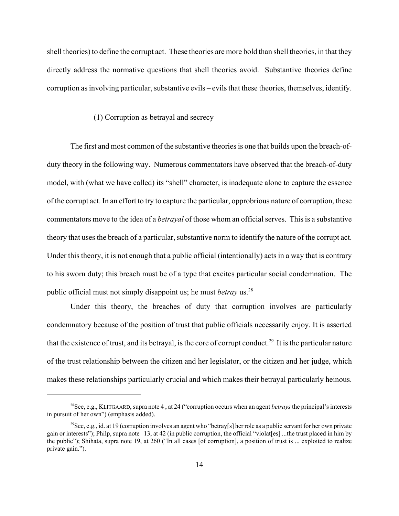shell theories) to define the corrupt act. These theories are more bold than shell theories, in that they directly address the normative questions that shell theories avoid. Substantive theories define corruption as involving particular, substantive evils – evils that these theories, themselves, identify.

#### (1) Corruption as betrayal and secrecy

The first and most common of the substantive theories is one that builds upon the breach-ofduty theory in the following way. Numerous commentators have observed that the breach-of-duty model, with (what we have called) its "shell" character, is inadequate alone to capture the essence of the corrupt act. In an effort to try to capture the particular, opprobrious nature of corruption, these commentators move to the idea of a *betrayal* of those whom an official serves. This is a substantive theory that uses the breach of a particular, substantive norm to identify the nature of the corrupt act. Under this theory, it is not enough that a public official (intentionally) acts in a way that is contrary to his sworn duty; this breach must be of a type that excites particular social condemnation. The public official must not simply disappoint us; he must *betray* us.<sup>28</sup>

Under this theory, the breaches of duty that corruption involves are particularly condemnatory because of the position of trust that public officials necessarily enjoy. It is asserted that the existence of trust, and its betrayal, is the core of corrupt conduct.<sup>29</sup> It is the particular nature of the trust relationship between the citizen and her legislator, or the citizen and her judge, which makes these relationships particularly crucial and which makes their betrayal particularly heinous.

<sup>28</sup>See, e.g., KLITGAARD, supra note 4 , at 24 ("corruption occurs when an agent *betrays* the principal's interests in pursuit of her own") (emphasis added).

<sup>&</sup>lt;sup>29</sup>See, e.g., id. at 19 (corruption involves an agent who "betray[s] her role as a public servant for her own private gain or interests"); Philp, supra note 13, at 42 (in public corruption, the official "violat[es] ...the trust placed in him by the public"); Shihata, supra note 19, at 260 ("In all cases [of corruption], a position of trust is ... exploited to realize private gain.").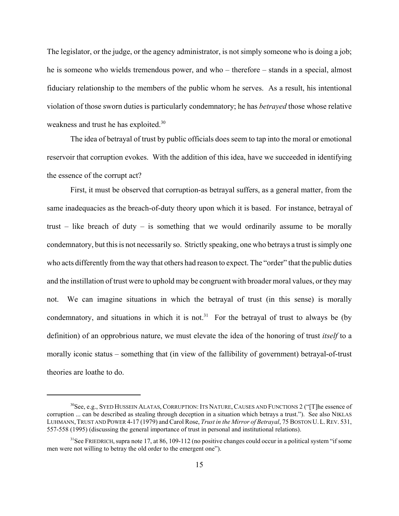The legislator, or the judge, or the agency administrator, is not simply someone who is doing a job; he is someone who wields tremendous power, and who – therefore – stands in a special, almost fiduciary relationship to the members of the public whom he serves. As a result, his intentional violation of those sworn duties is particularly condemnatory; he has *betrayed* those whose relative weakness and trust he has exploited.<sup>30</sup>

The idea of betrayal of trust by public officials does seem to tap into the moral or emotional reservoir that corruption evokes. With the addition of this idea, have we succeeded in identifying the essence of the corrupt act?

First, it must be observed that corruption-as betrayal suffers, as a general matter, from the same inadequacies as the breach-of-duty theory upon which it is based. For instance, betrayal of trust  $-$  like breach of duty  $-$  is something that we would ordinarily assume to be morally condemnatory, but this is not necessarily so. Strictly speaking, one who betrays a trust is simply one who acts differently from the way that others had reason to expect. The "order" that the public duties and the instillation of trust were to uphold may be congruent with broader moral values, or they may not. We can imagine situations in which the betrayal of trust (in this sense) is morally condemnatory, and situations in which it is not.<sup>31</sup> For the betrayal of trust to always be (by definition) of an opprobrious nature, we must elevate the idea of the honoring of trust *itself* to a morally iconic status – something that (in view of the fallibility of government) betrayal-of-trust theories are loathe to do.

 $^{30}$ See, e.g., Syed Hussein Alatas, Corruption: Its Nature, Causes and Functions 2 ("[T]he essence of corruption ... can be described as stealing through deception in a situation which betrays a trust."). See also NIKLAS LUHMANN,TRUST AND POWER 4-17 (1979) and Carol Rose, *Trust in the Mirror of Betrayal*, 75 BOSTON U.L.REV. 531, 557-558 (1995) (discussing the general importance of trust in personal and institutional relations).

<sup>&</sup>lt;sup>31</sup>See FRIEDRICH, supra note 17, at 86, 109-112 (no positive changes could occur in a political system "if some men were not willing to betray the old order to the emergent one").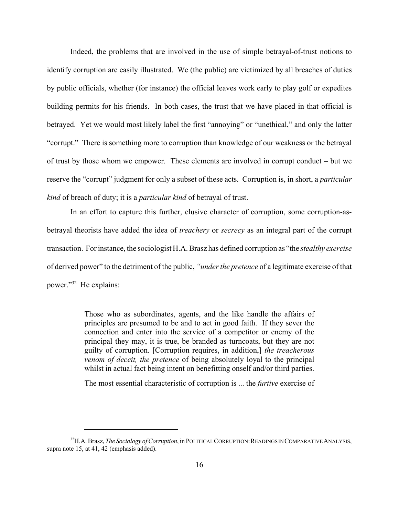Indeed, the problems that are involved in the use of simple betrayal-of-trust notions to identify corruption are easily illustrated. We (the public) are victimized by all breaches of duties by public officials, whether (for instance) the official leaves work early to play golf or expedites building permits for his friends. In both cases, the trust that we have placed in that official is betrayed. Yet we would most likely label the first "annoying" or "unethical," and only the latter "corrupt." There is something more to corruption than knowledge of our weakness or the betrayal of trust by those whom we empower. These elements are involved in corrupt conduct – but we reserve the "corrupt" judgment for only a subset of these acts. Corruption is, in short, a *particular kind* of breach of duty; it is a *particular kind* of betrayal of trust.

In an effort to capture this further, elusive character of corruption, some corruption-asbetrayal theorists have added the idea of *treachery* or *secrecy* as an integral part of the corrupt transaction. For instance, the sociologist H.A. Brasz has defined corruption as "the *stealthy exercise* of derived power" to the detriment of the public, *"under the pretence* of a legitimate exercise of that power."32 He explains:

> Those who as subordinates, agents, and the like handle the affairs of principles are presumed to be and to act in good faith. If they sever the connection and enter into the service of a competitor or enemy of the principal they may, it is true, be branded as turncoats, but they are not guilty of corruption. [Corruption requires, in addition,] *the treacherous venom of deceit, the pretence* of being absolutely loyal to the principal whilst in actual fact being intent on benefitting onself and/or third parties.

> The most essential characteristic of corruption is ... the *furtive* exercise of

<sup>&</sup>lt;sup>32</sup>H.A. Brasz, *The Sociology of Corruption*, in POLITICAL CORRUPTION: READINGS IN COMPARATIVE ANALYSIS, supra note 15, at 41, 42 (emphasis added).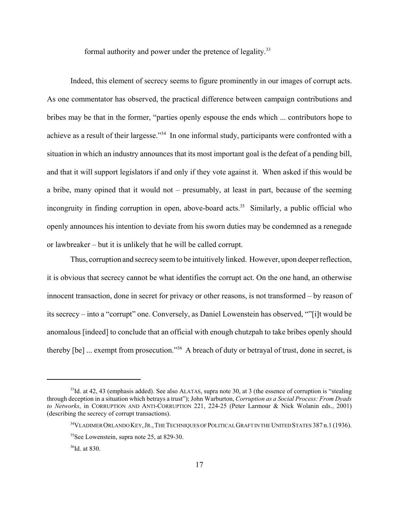formal authority and power under the pretence of legality.<sup>33</sup>

Indeed, this element of secrecy seems to figure prominently in our images of corrupt acts. As one commentator has observed, the practical difference between campaign contributions and bribes may be that in the former, "parties openly espouse the ends which ... contributors hope to achieve as a result of their largesse."34 In one informal study, participants were confronted with a situation in which an industry announces that its most important goal is the defeat of a pending bill, and that it will support legislators if and only if they vote against it. When asked if this would be a bribe, many opined that it would not – presumably, at least in part, because of the seeming incongruity in finding corruption in open, above-board acts.<sup>35</sup> Similarly, a public official who openly announces his intention to deviate from his sworn duties may be condemned as a renegade or lawbreaker – but it is unlikely that he will be called corrupt.

Thus, corruption and secrecy seem to be intuitively linked. However, upon deeper reflection, it is obvious that secrecy cannot be what identifies the corrupt act. On the one hand, an otherwise innocent transaction, done in secret for privacy or other reasons, is not transformed – by reason of its secrecy – into a "corrupt" one. Conversely, as Daniel Lowenstein has observed, ""[i]t would be anomalous [indeed] to conclude that an official with enough chutzpah to take bribes openly should thereby [be] ... exempt from prosecution."36 A breach of duty or betrayal of trust, done in secret, is

<sup>&</sup>lt;sup>33</sup>Id. at 42, 43 (emphasis added). See also ALATAS, supra note 30, at 3 (the essence of corruption is "stealing through deception in a situation which betrays a trust"); John Warburton, *Corruption as a Social Process: From Dyads to Networks*, in CORRUPTION AND ANTI-CORRUPTION 221, 224-25 (Peter Larmour & Nick Wolanin eds., 2001) (describing the secrecy of corrupt transactions).

<sup>&</sup>lt;sup>34</sup>VLADIMER ORLANDO KEY, JR., THE TECHNIQUES OF POLITICAL GRAFT IN THE UNITED STATES 387 n.1 (1936).

<sup>35</sup>See Lowenstein, supra note 25, at 829-30.

 $36$ Id. at 830.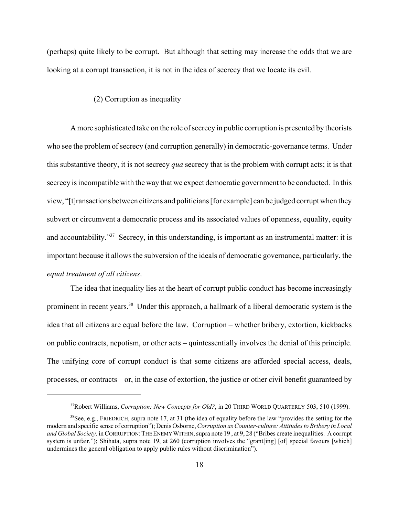(perhaps) quite likely to be corrupt. But although that setting may increase the odds that we are looking at a corrupt transaction, it is not in the idea of secrecy that we locate its evil.

# (2) Corruption as inequality

A more sophisticated take on the role of secrecy in public corruption is presented by theorists who see the problem of secrecy (and corruption generally) in democratic-governance terms. Under this substantive theory, it is not secrecy *qua* secrecy that is the problem with corrupt acts; it is that secrecy is incompatible with the way that we expect democratic government to be conducted. In this view, "[t]ransactions between citizens and politicians [for example] can be judged corrupt when they subvert or circumvent a democratic process and its associated values of openness, equality, equity and accountability."<sup>37</sup> Secrecy, in this understanding, is important as an instrumental matter: it is important because it allows the subversion of the ideals of democratic governance, particularly, the *equal treatment of all citizens*.

The idea that inequality lies at the heart of corrupt public conduct has become increasingly prominent in recent years.<sup>38</sup> Under this approach, a hallmark of a liberal democratic system is the idea that all citizens are equal before the law. Corruption – whether bribery, extortion, kickbacks on public contracts, nepotism, or other acts – quintessentially involves the denial of this principle. The unifying core of corrupt conduct is that some citizens are afforded special access, deals, processes, or contracts – or, in the case of extortion, the justice or other civil benefit guaranteed by

<sup>&</sup>lt;sup>37</sup>Robert Williams, *Corruption: New Concepts for Old?*, in 20 THIRD WORLD QUARTERLY 503, 510 (1999).

 $38$ See, e.g., FRIEDRICH, supra note 17, at 31 (the idea of equality before the law "provides the setting for the modern and specific sense of corruption"); Denis Osborne, *Corruption as Counter-culture: Attitudes to Bribery in Local* and Global Society, in CORRUPTION: THE ENEMY WITHIN, supra note 19, at 9, 28 ("Bribes create inequalities. A corrupt system is unfair."); Shihata, supra note 19, at 260 (corruption involves the "grant[ing] [of] special favours [which] undermines the general obligation to apply public rules without discrimination").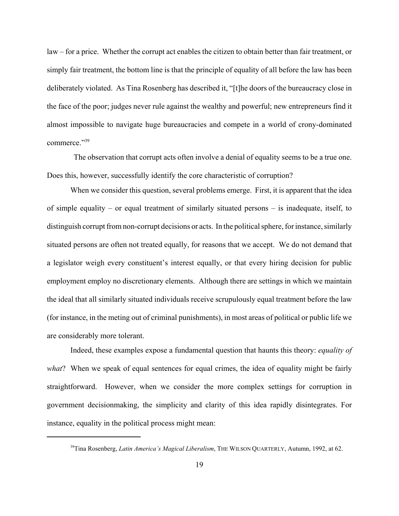law – for a price. Whether the corrupt act enables the citizen to obtain better than fair treatment, or simply fair treatment, the bottom line is that the principle of equality of all before the law has been deliberately violated. As Tina Rosenberg has described it, "[t]he doors of the bureaucracy close in the face of the poor; judges never rule against the wealthy and powerful; new entrepreneurs find it almost impossible to navigate huge bureaucracies and compete in a world of crony-dominated commerce."39

 The observation that corrupt acts often involve a denial of equality seems to be a true one. Does this, however, successfully identify the core characteristic of corruption?

When we consider this question, several problems emerge. First, it is apparent that the idea of simple equality – or equal treatment of similarly situated persons – is inadequate, itself, to distinguish corrupt from non-corrupt decisions or acts. In the political sphere, for instance, similarly situated persons are often not treated equally, for reasons that we accept. We do not demand that a legislator weigh every constituent's interest equally, or that every hiring decision for public employment employ no discretionary elements. Although there are settings in which we maintain the ideal that all similarly situated individuals receive scrupulously equal treatment before the law (for instance, in the meting out of criminal punishments), in most areas of political or public life we are considerably more tolerant.

Indeed, these examples expose a fundamental question that haunts this theory: *equality of what*? When we speak of equal sentences for equal crimes, the idea of equality might be fairly straightforward. However, when we consider the more complex settings for corruption in government decisionmaking, the simplicity and clarity of this idea rapidly disintegrates. For instance, equality in the political process might mean:

<sup>&</sup>lt;sup>39</sup>Tina Rosenberg, *Latin America's Magical Liberalism*, THE WILSON QUARTERLY, Autumn, 1992, at 62.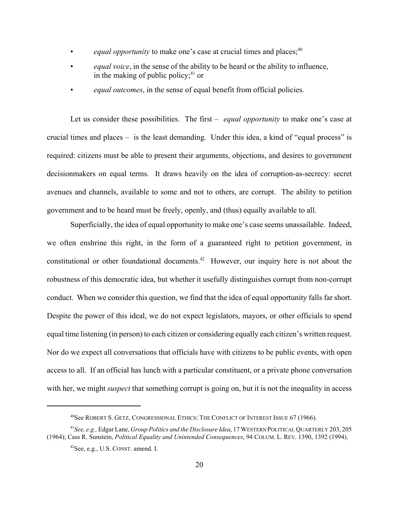- *equal opportunity* to make one's case at crucial times and places;<sup>40</sup>
- *equal voice*, in the sense of the ability to be heard or the ability to influence, in the making of public policy; $41$  or
- *equal outcomes*, in the sense of equal benefit from official policies.

Let us consider these possibilities. The first – *equal opportunity* to make one's case at crucial times and places – is the least demanding. Under this idea, a kind of "equal process" is required: citizens must be able to present their arguments, objections, and desires to government decisionmakers on equal terms. It draws heavily on the idea of corruption-as-secrecy: secret avenues and channels, available to some and not to others, are corrupt. The ability to petition government and to be heard must be freely, openly, and (thus) equally available to all.

Superficially, the idea of equal opportunity to make one's case seems unassailable. Indeed, we often enshrine this right, in the form of a guaranteed right to petition government, in constitutional or other foundational documents.<sup>42</sup> However, our inquiry here is not about the robustness of this democratic idea, but whether it usefully distinguishes corrupt from non-corrupt conduct. When we consider this question, we find that the idea of equal opportunity falls far short. Despite the power of this ideal, we do not expect legislators, mayors, or other officials to spend equal time listening (in person) to each citizen or considering equally each citizen's written request. Nor do we expect all conversations that officials have with citizens to be public events, with open access to all. If an official has lunch with a particular constituent, or a private phone conversation with her, we might *suspect* that something corrupt is going on, but it is not the inequality in access

<sup>40</sup>See ROBERT S. GETZ, CONGRESSIONAL ETHICS: THE CONFLICT OF INTEREST ISSUE 67 (1966).

<sup>41</sup>*See, e.g.,* Edgar Lane, *Group Politics and the Disclosure Idea*, 17 WESTERN POLITICAL QUARTERLY 203, 205 (1964); Cass R. Sunstein, *Political Equality and Unintended Consequences*, 94 COLUM. L. REV. 1390, 1392 (1994).

<sup>42</sup>See, e.g., U.S. CONST. amend. I.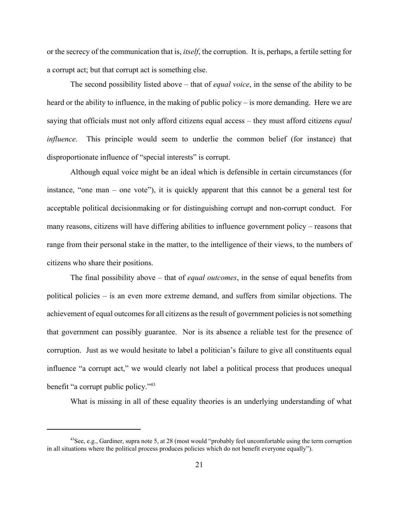or the secrecy of the communication that is, *itself*, the corruption. It is, perhaps, a fertile setting for a corrupt act; but that corrupt act is something else.

The second possibility listed above – that of *equal voice*, in the sense of the ability to be heard or the ability to influence, in the making of public policy – is more demanding. Here we are saying that officials must not only afford citizens equal access – they must afford citizens *equal influence*. This principle would seem to underlie the common belief (for instance) that disproportionate influence of "special interests" is corrupt.

Although equal voice might be an ideal which is defensible in certain circumstances (for instance, "one man – one vote"), it is quickly apparent that this cannot be a general test for acceptable political decisionmaking or for distinguishing corrupt and non-corrupt conduct. For many reasons, citizens will have differing abilities to influence government policy – reasons that range from their personal stake in the matter, to the intelligence of their views, to the numbers of citizens who share their positions.

The final possibility above – that of *equal outcomes*, in the sense of equal benefits from political policies – is an even more extreme demand, and suffers from similar objections. The achievement of equal outcomes for all citizens as the result of government policies is not something that government can possibly guarantee. Nor is its absence a reliable test for the presence of corruption. Just as we would hesitate to label a politician's failure to give all constituents equal influence "a corrupt act," we would clearly not label a political process that produces unequal benefit "a corrupt public policy."43

What is missing in all of these equality theories is an underlying understanding of what

<sup>&</sup>lt;sup>43</sup>See, e.g., Gardiner, supra note 5, at 28 (most would "probably feel uncomfortable using the term corruption in all situations where the political process produces policies which do not benefit everyone equally").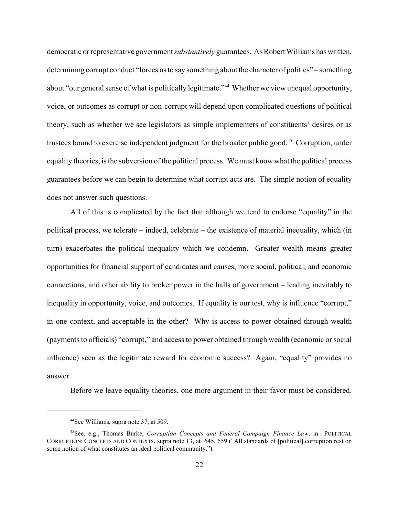democratic or representative government *substantively* guarantees. As Robert Williams has written, determining corrupt conduct "forces us to say something about the character of politics" – something about "our general sense of what is politically legitimate."<sup>44</sup> Whether we view unequal opportunity, voice, or outcomes as corrupt or non-corrupt will depend upon complicated questions of political theory, such as whether we see legislators as simple implementers of constituents' desires or as trustees bound to exercise independent judgment for the broader public good.<sup>45</sup> Corruption, under equality theories, is the subversion of the political process. We must know what the political process guarantees before we can begin to determine what corrupt acts are. The simple notion of equality does not answer such questions.

All of this is complicated by the fact that although we tend to endorse "equality" in the political process, we tolerate – indeed, celebrate – the existence of material inequality, which (in turn) exacerbates the political inequality which we condemn. Greater wealth means greater opportunities for financial support of candidates and causes, more social, political, and economic connections, and other ability to broker power in the halls of government – leading inevitably to inequality in opportunity, voice, and outcomes. If equality is our test, why is influence "corrupt," in one context, and acceptable in the other? Why is access to power obtained through wealth (payments to officials) "corrupt," and access to power obtained through wealth (economic or social influence) seen as the legitimate reward for economic success? Again, "equality" provides no answer.

Before we leave equality theories, one more argument in their favor must be considered.

<sup>44</sup>See Williams, supra note 37, at 509.

<sup>45</sup>See, e.g., Thomas Burke, *Corruption Concepts and Federal Campaign Finance Law*, in POLITICAL CORRUPTION: CONCEPTS AND CONTEXTS, supra note 13, at 645, 659 ("All standards of [political] corruption rest on some notion of what constitutes an ideal political community.").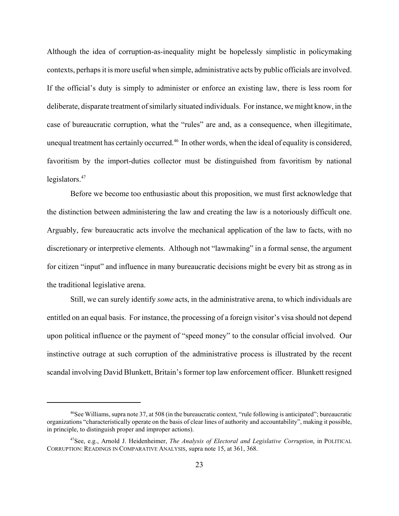Although the idea of corruption-as-inequality might be hopelessly simplistic in policymaking contexts, perhaps it is more useful when simple, administrative acts by public officials are involved. If the official's duty is simply to administer or enforce an existing law, there is less room for deliberate, disparate treatment of similarly situated individuals. For instance, we might know, in the case of bureaucratic corruption, what the "rules" are and, as a consequence, when illegitimate, unequal treatment has certainly occurred.<sup>46</sup> In other words, when the ideal of equality is considered, favoritism by the import-duties collector must be distinguished from favoritism by national legislators.47

Before we become too enthusiastic about this proposition, we must first acknowledge that the distinction between administering the law and creating the law is a notoriously difficult one. Arguably, few bureaucratic acts involve the mechanical application of the law to facts, with no discretionary or interpretive elements. Although not "lawmaking" in a formal sense, the argument for citizen "input" and influence in many bureaucratic decisions might be every bit as strong as in the traditional legislative arena.

Still, we can surely identify *some* acts, in the administrative arena, to which individuals are entitled on an equal basis. For instance, the processing of a foreign visitor's visa should not depend upon political influence or the payment of "speed money" to the consular official involved. Our instinctive outrage at such corruption of the administrative process is illustrated by the recent scandal involving David Blunkett, Britain's former top law enforcement officer. Blunkett resigned

 $46$ See Williams, supra note 37, at 508 (in the bureaucratic context, "rule following is anticipated"; bureaucratic organizations "characteristically operate on the basis of clear lines of authority and accountability", making it possible, in principle, to distinguish proper and improper actions).

<sup>47</sup>See, e.g., Arnold J. Heidenheimer, *The Analysis of Electoral and Legislative Corruption*, in POLITICAL CORRUPTION: READINGS IN COMPARATIVE ANALYSIS, supra note 15, at 361, 368.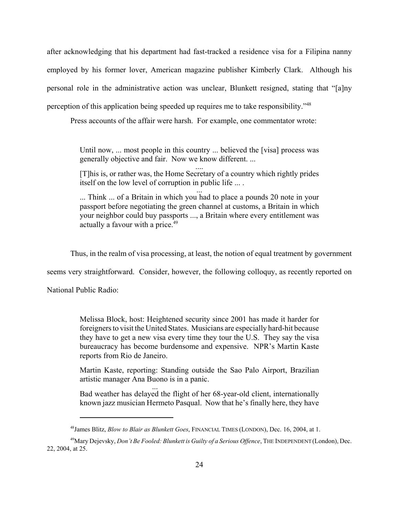after acknowledging that his department had fast-tracked a residence visa for a Filipina nanny employed by his former lover, American magazine publisher Kimberly Clark. Although his personal role in the administrative action was unclear, Blunkett resigned, stating that "[a]ny perception of this application being speeded up requires me to take responsibility."48

Press accounts of the affair were harsh. For example, one commentator wrote:

Until now, ... most people in this country ... believed the [visa] process was generally objective and fair. Now we know different. ...<br>
[T]his is, or rather was, the Home Secretary of a country which rightly prides

itself on the low level of corruption in public life ... .<br>... Think ... of a Britain in which you had to place a pounds 20 note in your

passport before negotiating the green channel at customs, a Britain in which your neighbor could buy passports ..., a Britain where every entitlement was actually a favour with a price.<sup>49</sup>

Thus, in the realm of visa processing, at least, the notion of equal treatment by government

seems very straightforward. Consider, however, the following colloquy, as recently reported on

National Public Radio:

Melissa Block, host: Heightened security since 2001 has made it harder for foreigners to visit the United States. Musicians are especially hard-hit because they have to get a new visa every time they tour the U.S. They say the visa bureaucracy has become burdensome and expensive. NPR's Martin Kaste reports from Rio de Janeiro.

Martin Kaste, reporting: Standing outside the Sao Palo Airport, Brazilian artistic manager Ana Buono is in a panic. ...

Bad weather has delayed the flight of her 68-year-old client, internationally known jazz musician Hermeto Pasqual. Now that he's finally here, they have

<sup>48</sup>James Blitz, *Blow to Blair as Blunkett Goes*, FINANCIAL TIMES (LONDON), Dec. 16, 2004, at 1.

<sup>49</sup>Mary Dejevsky, *Don't Be Fooled: Blunkett is Guilty of a Serious Offence*, THE INDEPENDENT (London), Dec. 22, 2004, at 25.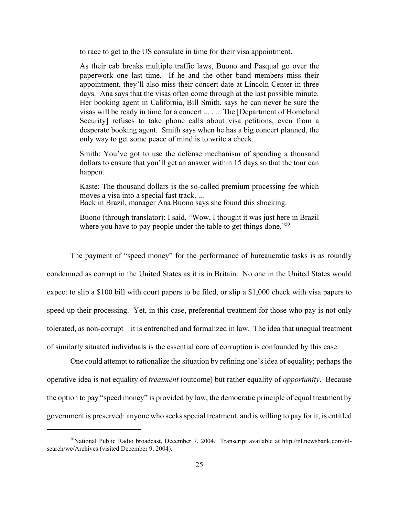to race to get to the US consulate in time for their visa appointment. ...

As their cab breaks multiple traffic laws, Buono and Pasqual go over the paperwork one last time. If he and the other band members miss their appointment, they'll also miss their concert date at Lincoln Center in three days. Ana says that the visas often come through at the last possible minute. Her booking agent in California, Bill Smith, says he can never be sure the visas will be ready in time for a concert ... . ... The [Department of Homeland Security] refuses to take phone calls about visa petitions, even from a desperate booking agent. Smith says when he has a big concert planned, the only way to get some peace of mind is to write a check.

Smith: You've got to use the defense mechanism of spending a thousand dollars to ensure that you'll get an answer within 15 days so that the tour can happen.

Kaste: The thousand dollars is the so-called premium processing fee which moves a visa into a special fast track. ... Back in Brazil, manager Ana Buono says she found this shocking.

Buono (through translator): I said, "Wow, I thought it was just here in Brazil where you have to pay people under the table to get things done."<sup>50</sup>

The payment of "speed money" for the performance of bureaucratic tasks is as roundly condemned as corrupt in the United States as it is in Britain. No one in the United States would expect to slip a \$100 bill with court papers to be filed, or slip a \$1,000 check with visa papers to speed up their processing. Yet, in this case, preferential treatment for those who pay is not only tolerated, as non-corrupt – it is entrenched and formalized in law. The idea that unequal treatment of similarly situated individuals is the essential core of corruption is confounded by this case.

One could attempt to rationalize the situation by refining one's idea of equality; perhaps the operative idea is not equality of *treatment* (outcome) but rather equality of *opportunity*. Because the option to pay "speed money" is provided by law, the democratic principle of equal treatment by government is preserved: anyone who seeks special treatment, and is willing to pay for it, is entitled

<sup>50</sup>National Public Radio broadcast, December 7, 2004. Transcript available at http.//nl.newsbank.com/nlsearch/we/Archives (visited December 9, 2004).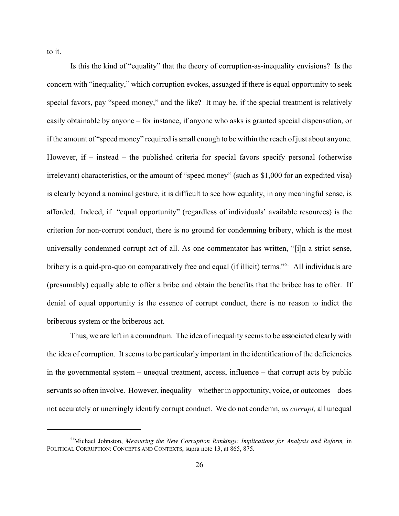to it.

Is this the kind of "equality" that the theory of corruption-as-inequality envisions? Is the concern with "inequality," which corruption evokes, assuaged if there is equal opportunity to seek special favors, pay "speed money," and the like? It may be, if the special treatment is relatively easily obtainable by anyone – for instance, if anyone who asks is granted special dispensation, or if the amount of "speed money" required is small enough to be within the reach of just about anyone. However, if – instead – the published criteria for special favors specify personal (otherwise irrelevant) characteristics, or the amount of "speed money" (such as \$1,000 for an expedited visa) is clearly beyond a nominal gesture, it is difficult to see how equality, in any meaningful sense, is afforded. Indeed, if "equal opportunity" (regardless of individuals' available resources) is the criterion for non-corrupt conduct, there is no ground for condemning bribery, which is the most universally condemned corrupt act of all. As one commentator has written, "[i]n a strict sense, bribery is a quid-pro-quo on comparatively free and equal (if illicit) terms."51 All individuals are (presumably) equally able to offer a bribe and obtain the benefits that the bribee has to offer. If denial of equal opportunity is the essence of corrupt conduct, there is no reason to indict the briberous system or the briberous act.

Thus, we are left in a conundrum. The idea of inequality seems to be associated clearly with the idea of corruption. It seems to be particularly important in the identification of the deficiencies in the governmental system – unequal treatment, access, influence – that corrupt acts by public servants so often involve. However, inequality – whether in opportunity, voice, or outcomes – does not accurately or unerringly identify corrupt conduct. We do not condemn, *as corrupt,* all unequal

<sup>51</sup>Michael Johnston, *Measuring the New Corruption Rankings: Implications for Analysis and Reform,* in POLITICAL CORRUPTION: CONCEPTS AND CONTEXTS, supra note 13, at 865, 875.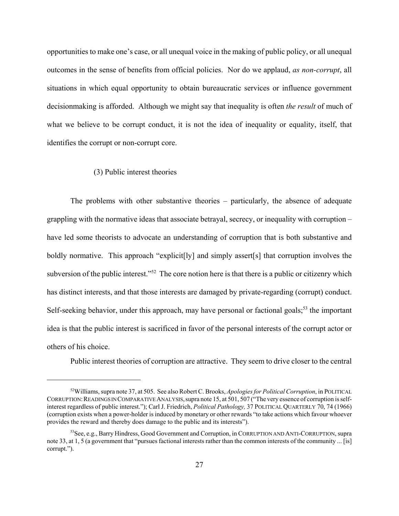opportunities to make one's case, or all unequal voice in the making of public policy, or all unequal outcomes in the sense of benefits from official policies. Nor do we applaud, *as non-corrupt*, all situations in which equal opportunity to obtain bureaucratic services or influence government decisionmaking is afforded. Although we might say that inequality is often *the result* of much of what we believe to be corrupt conduct, it is not the idea of inequality or equality, itself, that identifies the corrupt or non-corrupt core.

## (3) Public interest theories

The problems with other substantive theories – particularly, the absence of adequate grappling with the normative ideas that associate betrayal, secrecy, or inequality with corruption – have led some theorists to advocate an understanding of corruption that is both substantive and boldly normative. This approach "explicit<sup>[1</sup>y] and simply assert<sup>[5]</sup> that corruption involves the subversion of the public interest."<sup>52</sup> The core notion here is that there is a public or citizenry which has distinct interests, and that those interests are damaged by private-regarding (corrupt) conduct. Self-seeking behavior, under this approach, may have personal or factional goals;<sup>53</sup> the important idea is that the public interest is sacrificed in favor of the personal interests of the corrupt actor or others of his choice.

Public interest theories of corruption are attractive. They seem to drive closer to the central

<sup>52</sup>Williams, supra note 37, at 505. See also Robert C. Brooks, *Apologies for Political Corruption*, in POLITICAL CORRUPTION: READINGS IN COMPARATIVE ANALYSIS, supra note 15, at 501, 507 ("The very essence of corruption is selfinterest regardless of public interest."); Carl J. Friedrich, *Political Pathology,* 37 POLITICAL QUARTERLY 70, 74 (1966) (corruption exists when a power-holder is induced by monetary or other rewards "to take actions which favour whoever provides the reward and thereby does damage to the public and its interests").

<sup>&</sup>lt;sup>53</sup>See, e.g., Barry Hindress, Good Government and Corruption, in CORRUPTION AND ANTI-CORRUPTION, supra note 33, at 1, 5 (a government that "pursues factional interests rather than the common interests of the community ... [is] corrupt.").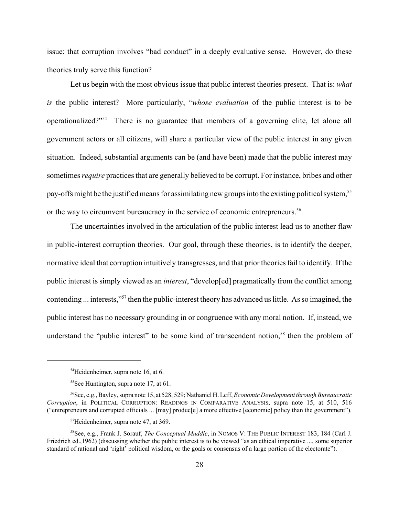issue: that corruption involves "bad conduct" in a deeply evaluative sense. However, do these theories truly serve this function?

Let us begin with the most obvious issue that public interest theories present. That is: *what is* the public interest? More particularly, "*whose evaluation* of the public interest is to be operationalized?"54 There is no guarantee that members of a governing elite, let alone all government actors or all citizens, will share a particular view of the public interest in any given situation. Indeed, substantial arguments can be (and have been) made that the public interest may sometimes *require* practices that are generally believed to be corrupt. For instance, bribes and other pay-offs might be the justified means for assimilating new groups into the existing political system,<sup>55</sup> or the way to circumvent bureaucracy in the service of economic entrepreneurs.<sup>56</sup>

The uncertainties involved in the articulation of the public interest lead us to another flaw in public-interest corruption theories. Our goal, through these theories, is to identify the deeper, normative ideal that corruption intuitively transgresses, and that prior theories fail to identify. If the public interest is simply viewed as an *interest*, "develop[ed] pragmatically from the conflict among contending ... interests,"57 then the public-interest theory has advanced us little. As so imagined, the public interest has no necessary grounding in or congruence with any moral notion. If, instead, we understand the "public interest" to be some kind of transcendent notion,<sup>58</sup> then the problem of

<sup>&</sup>lt;sup>54</sup>Heidenheimer, supra note 16, at 6.

<sup>&</sup>lt;sup>55</sup>See Huntington, supra note 17, at 61.

<sup>56</sup>See, e.g., Bayley, supra note 15, at 528, 529; Nathaniel H. Leff, *Economic Development through Bureaucratic Corruption*, in POLITICAL CORRUPTION: READINGS IN COMPARATIVE ANALYSIS, supra note 15, at 510, 516 ("entrepreneurs and corrupted officials ... [may] produc[e] a more effective [economic] policy than the government").

<sup>57</sup>Heidenheimer, supra note 47, at 369.

<sup>58</sup>See, e.g., Frank J. Sorauf, *The Conceptual Muddle*, in NOMOS V: THE PUBLIC INTEREST 183, 184 (Carl J. Friedrich ed.,1962) (discussing whether the public interest is to be viewed "as an ethical imperative ..., some superior standard of rational and 'right' political wisdom, or the goals or consensus of a large portion of the electorate").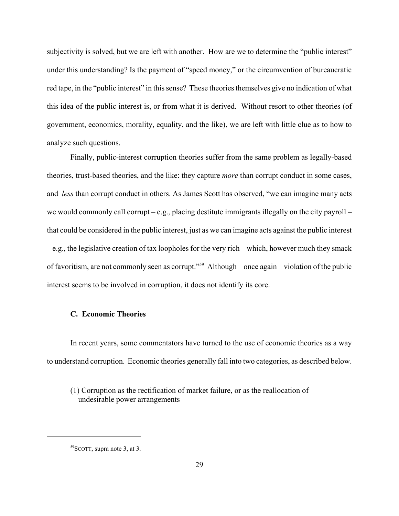subjectivity is solved, but we are left with another. How are we to determine the "public interest" under this understanding? Is the payment of "speed money," or the circumvention of bureaucratic red tape, in the "public interest" in this sense? These theories themselves give no indication of what this idea of the public interest is, or from what it is derived. Without resort to other theories (of government, economics, morality, equality, and the like), we are left with little clue as to how to analyze such questions.

Finally, public-interest corruption theories suffer from the same problem as legally-based theories, trust-based theories, and the like: they capture *more* than corrupt conduct in some cases, and *less* than corrupt conduct in others. As James Scott has observed, "we can imagine many acts we would commonly call corrupt – e.g., placing destitute immigrants illegally on the city payroll – that could be considered in the public interest, just as we can imagine acts against the public interest – e.g., the legislative creation of tax loopholes for the very rich – which, however much they smack of favoritism, are not commonly seen as corrupt."59 Although – once again – violation of the public interest seems to be involved in corruption, it does not identify its core.

#### **C. Economic Theories**

In recent years, some commentators have turned to the use of economic theories as a way to understand corruption. Economic theories generally fall into two categories, as described below.

# (1) Corruption as the rectification of market failure, or as the reallocation of undesirable power arrangements

<sup>59</sup>SCOTT, supra note 3, at 3.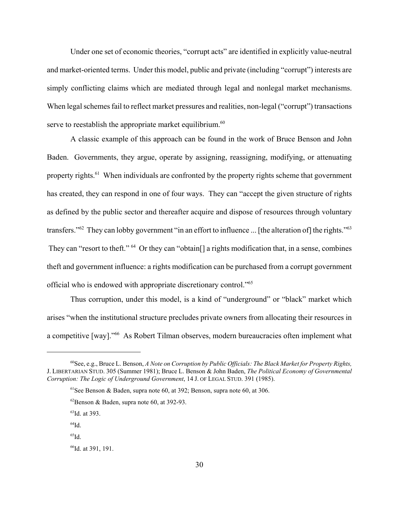Under one set of economic theories, "corrupt acts" are identified in explicitly value-neutral and market-oriented terms. Under this model, public and private (including "corrupt") interests are simply conflicting claims which are mediated through legal and nonlegal market mechanisms. When legal schemes fail to reflect market pressures and realities, non-legal ("corrupt") transactions serve to reestablish the appropriate market equilibrium.<sup>60</sup>

A classic example of this approach can be found in the work of Bruce Benson and John Baden. Governments, they argue, operate by assigning, reassigning, modifying, or attenuating property rights.<sup>61</sup> When individuals are confronted by the property rights scheme that government has created, they can respond in one of four ways. They can "accept the given structure of rights as defined by the public sector and thereafter acquire and dispose of resources through voluntary transfers."<sup>62</sup> They can lobby government "in an effort to influence ... [the alteration of] the rights."<sup>63</sup> They can "resort to theft." <sup>64</sup> Or they can "obtain<sup>[]</sup> a rights modification that, in a sense, combines theft and government influence: a rights modification can be purchased from a corrupt government official who is endowed with appropriate discretionary control."65

Thus corruption, under this model, is a kind of "underground" or "black" market which arises "when the institutional structure precludes private owners from allocating their resources in a competitive [way]."66 As Robert Tilman observes, modern bureaucracies often implement what

<sup>60</sup>See, e.g., Bruce L. Benson, *A Note on Corruption by Public Officials: The Black Market for Property Rights,* J. LIBERTARIAN STUD. 305 (Summer 1981); Bruce L. Benson & John Baden, *The Political Economy of Governmental Corruption: The Logic of Underground Government*, 14 J. OF LEGAL STUD. 391 (1985).

 $61$ See Benson & Baden, supra note 60, at 392; Benson, supra note 60, at 306.

 $^{62}$ Benson & Baden, supra note 60, at 392-93.

<sup>63</sup>Id. at 393.

 $64$ Id

 $^{65}$ Id.

<sup>66</sup>Id. at 391, 191.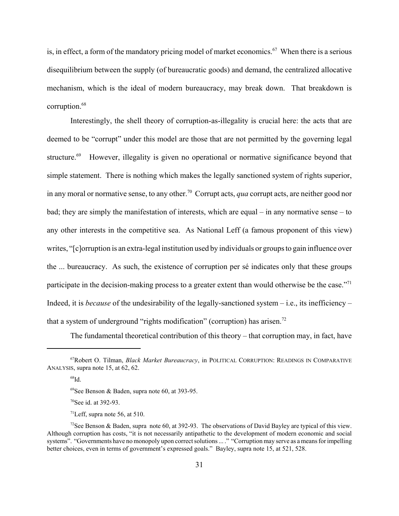is, in effect, a form of the mandatory pricing model of market economics.<sup>67</sup> When there is a serious disequilibrium between the supply (of bureaucratic goods) and demand, the centralized allocative mechanism, which is the ideal of modern bureaucracy, may break down. That breakdown is corruption.<sup>68</sup>

Interestingly, the shell theory of corruption-as-illegality is crucial here: the acts that are deemed to be "corrupt" under this model are those that are not permitted by the governing legal structure.<sup>69</sup> However, illegality is given no operational or normative significance beyond that simple statement. There is nothing which makes the legally sanctioned system of rights superior, in any moral or normative sense, to any other.<sup>70</sup> Corrupt acts, *qua* corrupt acts, are neither good nor bad; they are simply the manifestation of interests, which are equal – in any normative sense – to any other interests in the competitive sea. As National Leff (a famous proponent of this view) writes, "[c]orruption is an extra-legal institution used by individuals or groups to gain influence over the ... bureaucracy. As such, the existence of corruption per sé indicates only that these groups participate in the decision-making process to a greater extent than would otherwise be the case."<sup>71</sup> Indeed, it is *because* of the undesirability of the legally-sanctioned system – i.e., its inefficiency – that a system of underground "rights modification" (corruption) has arisen.<sup>72</sup>

The fundamental theoretical contribution of this theory – that corruption may, in fact, have

<sup>67</sup>Robert O. Tilman, *Black Market Bureaucracy*, in POLITICAL CORRUPTION: READINGS IN COMPARATIVE ANALYSIS, supra note 15, at 62, 62.

 $^{68}$ Id.

<sup>69</sup>See Benson & Baden, supra note 60, at 393-95.

<sup>70</sup>See id. at 392-93.

<sup>&</sup>lt;sup>71</sup>Leff, supra note 56, at 510.

<sup>&</sup>lt;sup>72</sup>See Benson & Baden, supra note 60, at 392-93. The observations of David Bayley are typical of this view. Although corruption has costs, "it is not necessarily antipathetic to the development of modern economic and social systems". "Governments have no monopoly upon correct solutions ... ." "Corruption may serve as a means for impelling better choices, even in terms of government's expressed goals." Bayley, supra note 15, at 521, 528.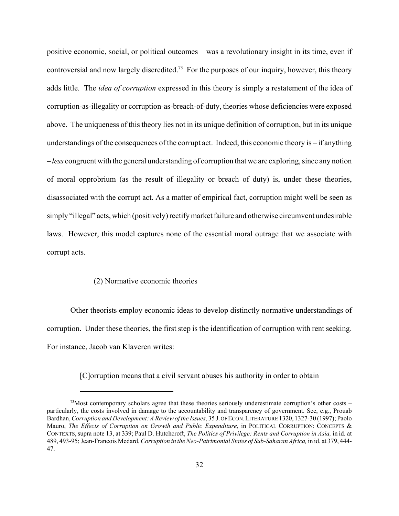positive economic, social, or political outcomes – was a revolutionary insight in its time, even if controversial and now largely discredited.<sup>73</sup> For the purposes of our inquiry, however, this theory adds little. The *idea of corruption* expressed in this theory is simply a restatement of the idea of corruption-as-illegality or corruption-as-breach-of-duty, theories whose deficiencies were exposed above. The uniqueness of this theory lies not in its unique definition of corruption, but in its unique understandings of the consequences of the corrupt act. Indeed, this economic theory is – if anything – *less* congruent with the general understanding of corruption that we are exploring, since any notion of moral opprobrium (as the result of illegality or breach of duty) is, under these theories, disassociated with the corrupt act. As a matter of empirical fact, corruption might well be seen as simply "illegal" acts, which (positively) rectify market failure and otherwise circumvent undesirable laws. However, this model captures none of the essential moral outrage that we associate with corrupt acts.

# (2) Normative economic theories

Other theorists employ economic ideas to develop distinctly normative understandings of corruption. Under these theories, the first step is the identification of corruption with rent seeking. For instance, Jacob van Klaveren writes:

[C]orruption means that a civil servant abuses his authority in order to obtain

 $^{73}$ Most contemporary scholars agree that these theories seriously underestimate corruption's other costs – particularly, the costs involved in damage to the accountability and transparency of government. See, e.g., Prouab Bardhan, *Corruption and Development: A Review of the Issues*, 35 J. OF ECON.LITERATURE 1320, 1327-30 (1997); Paolo Mauro, *The Effects of Corruption on Growth and Public Expenditure*, in POLITICAL CORRUPTION: CONCEPTS & CONTEXTS,supra note 13, at 339; Paul D. Hutchcroft, *The Politics of Privilege: Rents and Corruption in Asia,* in id. at 489, 493-95; Jean-Francois Medard, *Corruption in the Neo-Patrimonial States of Sub-Saharan Africa,* in id. at 379, 444- 47.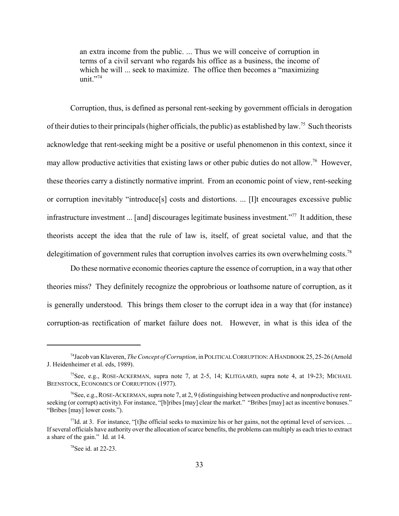an extra income from the public. ... Thus we will conceive of corruption in terms of a civil servant who regards his office as a business, the income of which he will ... seek to maximize. The office then becomes a "maximizing" unit." $74$ 

 Corruption, thus, is defined as personal rent-seeking by government officials in derogation of their duties to their principals (higher officials, the public) as established by law.75 Such theorists acknowledge that rent-seeking might be a positive or useful phenomenon in this context, since it may allow productive activities that existing laws or other pubic duties do not allow.<sup>76</sup> However, these theories carry a distinctly normative imprint. From an economic point of view, rent-seeking or corruption inevitably "introduce[s] costs and distortions. ... [I]t encourages excessive public infrastructure investment ... [and] discourages legitimate business investment."77 It addition, these theorists accept the idea that the rule of law is, itself, of great societal value, and that the delegitimation of government rules that corruption involves carries its own overwhelming costs.<sup>78</sup>

Do these normative economic theories capture the essence of corruption, in a way that other theories miss? They definitely recognize the opprobrious or loathsome nature of corruption, as it is generally understood. This brings them closer to the corrupt idea in a way that (for instance) corruption-as rectification of market failure does not. However, in what is this idea of the

<sup>74</sup>Jacob van Klaveren, *The Concept of Corruption*, in POLITICAL CORRUPTION:AHANDBOOK 25, 25-26 (Arnold J. Heidenheimer et al. eds, 1989).

<sup>&</sup>lt;sup>75</sup>See, e.g., ROSE-ACKERMAN, supra note 7, at 2-5, 14; KLITGAARD, supra note 4, at 19-23; MICHAEL BEENSTOCK, ECONOMICS OF CORRUPTION (1977).

<sup>&</sup>lt;sup>76</sup>See, e.g., ROSE-ACKERMAN, supra note 7, at 2, 9 (distinguishing between productive and nonproductive rentseeking (or corrupt) activity). For instance, "[b]ribes [may] clear the market." "Bribes [may] act as incentive bonuses." "Bribes [may] lower costs.").

 $77$ Id. at 3. For instance, "[t]he official seeks to maximize his or her gains, not the optimal level of services. ... If several officials have authority over the allocation of scarce benefits, the problems can multiply as each tries to extract a share of the gain." Id. at 14.

<sup>78</sup>See id. at 22-23.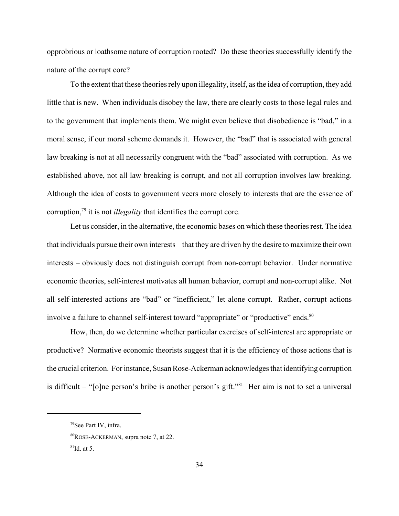opprobrious or loathsome nature of corruption rooted? Do these theories successfully identify the nature of the corrupt core?

To the extent that these theories rely upon illegality, itself, as the idea of corruption, they add little that is new. When individuals disobey the law, there are clearly costs to those legal rules and to the government that implements them. We might even believe that disobedience is "bad," in a moral sense, if our moral scheme demands it. However, the "bad" that is associated with general law breaking is not at all necessarily congruent with the "bad" associated with corruption. As we established above, not all law breaking is corrupt, and not all corruption involves law breaking. Although the idea of costs to government veers more closely to interests that are the essence of corruption,79 it is not *illegality* that identifies the corrupt core.

Let us consider, in the alternative, the economic bases on which these theories rest. The idea that individuals pursue their own interests – that they are driven by the desire to maximize their own interests – obviously does not distinguish corrupt from non-corrupt behavior. Under normative economic theories, self-interest motivates all human behavior, corrupt and non-corrupt alike. Not all self-interested actions are "bad" or "inefficient," let alone corrupt. Rather, corrupt actions involve a failure to channel self-interest toward "appropriate" or "productive" ends.<sup>80</sup>

How, then, do we determine whether particular exercises of self-interest are appropriate or productive? Normative economic theorists suggest that it is the efficiency of those actions that is the crucial criterion. For instance, Susan Rose-Ackerman acknowledges that identifying corruption is difficult – "[o]ne person's bribe is another person's gift."<sup>81</sup> Her aim is not to set a universal

<sup>79</sup>See Part IV, infra.

<sup>80</sup>ROSE-ACKERMAN, supra note 7, at 22.

 $^{81}$ Id. at 5.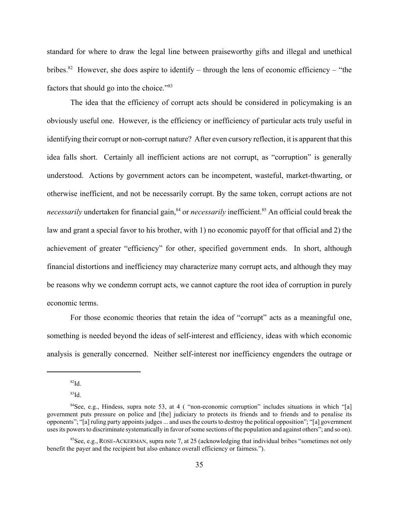standard for where to draw the legal line between praiseworthy gifts and illegal and unethical bribes.<sup>82</sup> However, she does aspire to identify – through the lens of economic efficiency – "the factors that should go into the choice."<sup>83</sup>

The idea that the efficiency of corrupt acts should be considered in policymaking is an obviously useful one. However, is the efficiency or inefficiency of particular acts truly useful in identifying their corrupt or non-corrupt nature? After even cursory reflection, it is apparent that this idea falls short. Certainly all inefficient actions are not corrupt, as "corruption" is generally understood. Actions by government actors can be incompetent, wasteful, market-thwarting, or otherwise inefficient, and not be necessarily corrupt. By the same token, corrupt actions are not *necessarily* undertaken for financial gain,<sup>84</sup> or *necessarily* inefficient.<sup>85</sup> An official could break the law and grant a special favor to his brother, with 1) no economic payoff for that official and 2) the achievement of greater "efficiency" for other, specified government ends. In short, although financial distortions and inefficiency may characterize many corrupt acts, and although they may be reasons why we condemn corrupt acts, we cannot capture the root idea of corruption in purely economic terms.

For those economic theories that retain the idea of "corrupt" acts as a meaningful one, something is needed beyond the ideas of self-interest and efficiency, ideas with which economic analysis is generally concerned. Neither self-interest nor inefficiency engenders the outrage or

 ${}^{82}$ Id.

<sup>83</sup>Id.

 ${}^{84}$ See, e.g., Hindess, supra note 53, at 4 ( "non-economic corruption" includes situations in which "[a] government puts pressure on police and [the] judiciary to protects its friends and to friends and to penalise its opponents"; "[a] ruling party appoints judges ... and uses the courts to destroy the political opposition"; "[a] government uses its powers to discriminate systematically in favor of some sections of the population and against others"; and so on).

 ${}^{85}$ See, e.g., ROSE-ACKERMAN, supra note 7, at 25 (acknowledging that individual bribes "sometimes not only benefit the payer and the recipient but also enhance overall efficiency or fairness.").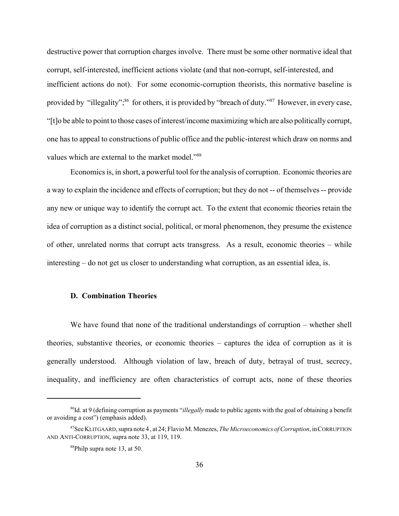destructive power that corruption charges involve. There must be some other normative ideal that corrupt, self-interested, inefficient actions violate (and that non-corrupt, self-interested, and inefficient actions do not). For some economic-corruption theorists, this normative baseline is provided by "illegality";<sup>86</sup> for others, it is provided by "breach of duty."<sup>87</sup> However, in every case, "[t]o be able to point to those cases of interest/income maximizing which are also politically corrupt, one has to appeal to constructions of public office and the public-interest which draw on norms and values which are external to the market model."<sup>88</sup>

Economics is, in short, a powerful tool for the analysis of corruption. Economic theories are a way to explain the incidence and effects of corruption; but they do not -- of themselves -- provide any new or unique way to identify the corrupt act. To the extent that economic theories retain the idea of corruption as a distinct social, political, or moral phenomenon, they presume the existence of other, unrelated norms that corrupt acts transgress. As a result, economic theories – while interesting – do not get us closer to understanding what corruption, as an essential idea, is.

#### **D. Combination Theories**

We have found that none of the traditional understandings of corruption – whether shell theories, substantive theories, or economic theories – captures the idea of corruption as it is generally understood. Although violation of law, breach of duty, betrayal of trust, secrecy, inequality, and inefficiency are often characteristics of corrupt acts, none of these theories

<sup>86</sup>Id. at 9 (defining corruption as payments "*illegally* made to public agents with the goal of obtaining a benefit or avoiding a cost") (emphasis added).

<sup>87</sup>See KLITGAARD, supra note 4 , at 24; Flavio M. Menezes, *The Microeconomics of Corruption*, inCORRUPTION AND ANTI-CORRUPTION, supra note 33, at 119, 119.

<sup>88</sup>Philp supra note 13, at 50.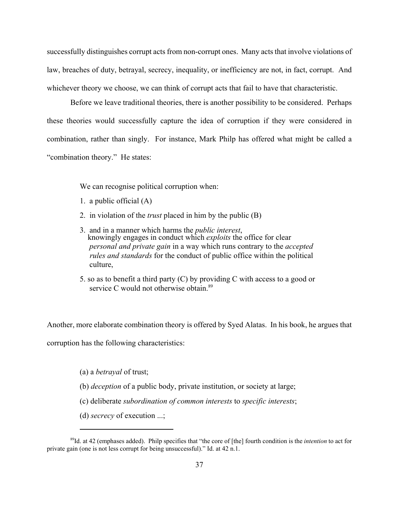successfully distinguishes corrupt acts from non-corrupt ones. Many acts that involve violations of law, breaches of duty, betrayal, secrecy, inequality, or inefficiency are not, in fact, corrupt. And whichever theory we choose, we can think of corrupt acts that fail to have that characteristic.

Before we leave traditional theories, there is another possibility to be considered. Perhaps these theories would successfully capture the idea of corruption if they were considered in combination, rather than singly. For instance, Mark Philp has offered what might be called a "combination theory." He states:

We can recognise political corruption when:

- 1. a public official (A)
- 2. in violation of the *trust* placed in him by the public (B)
- 3. and in a manner which harms the *public interest*, knowingly engages in conduct which *exploits* the office for clear  *personal and private gain* in a way which runs contrary to the *accepted rules and standards* for the conduct of public office within the political culture,
- 5. so as to benefit a third party (C) by providing C with access to a good or service C would not otherwise obtain  $89$

Another, more elaborate combination theory is offered by Syed Alatas. In his book, he argues that corruption has the following characteristics:

- (a) a *betrayal* of trust;
- (b) *deception* of a public body, private institution, or society at large;
- (c) deliberate *subordination of common interests* to *specific interests*;
- (d) *secrecy* of execution ...;

<sup>89</sup>Id. at 42 (emphases added). Philp specifies that "the core of [the] fourth condition is the *intention* to act for private gain (one is not less corrupt for being unsuccessful)." Id. at 42 n.1.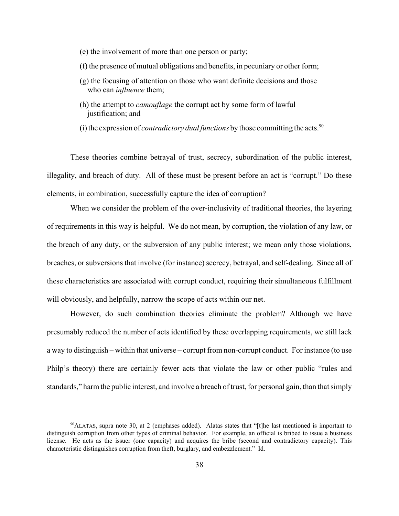- (e) the involvement of more than one person or party;
- (f) the presence of mutual obligations and benefits, in pecuniary or other form;
- (g) the focusing of attention on those who want definite decisions and those who can *influence* them;
- (h) the attempt to *camouflage* the corrupt act by some form of lawful justification; and

(i) the expression of *contradictory dual functions* by those committing the acts.<sup>90</sup>

These theories combine betrayal of trust, secrecy, subordination of the public interest, illegality, and breach of duty. All of these must be present before an act is "corrupt." Do these elements, in combination, successfully capture the idea of corruption?

When we consider the problem of the over-inclusivity of traditional theories, the layering of requirements in this way is helpful. We do not mean, by corruption, the violation of any law, or the breach of any duty, or the subversion of any public interest; we mean only those violations, breaches, or subversions that involve (for instance) secrecy, betrayal, and self-dealing. Since all of these characteristics are associated with corrupt conduct, requiring their simultaneous fulfillment will obviously, and helpfully, narrow the scope of acts within our net.

However, do such combination theories eliminate the problem? Although we have presumably reduced the number of acts identified by these overlapping requirements, we still lack a way to distinguish – within that universe – corrupt from non-corrupt conduct. For instance (to use Philp's theory) there are certainly fewer acts that violate the law or other public "rules and standards," harm the public interest, and involve a breach of trust, for personal gain, than that simply

<sup>90</sup>ALATAS, supra note 30, at 2 (emphases added). Alatas states that "[t]he last mentioned is important to distinguish corruption from other types of criminal behavior. For example, an official is bribed to issue a business license. He acts as the issuer (one capacity) and acquires the bribe (second and contradictory capacity). This characteristic distinguishes corruption from theft, burglary, and embezzlement." Id.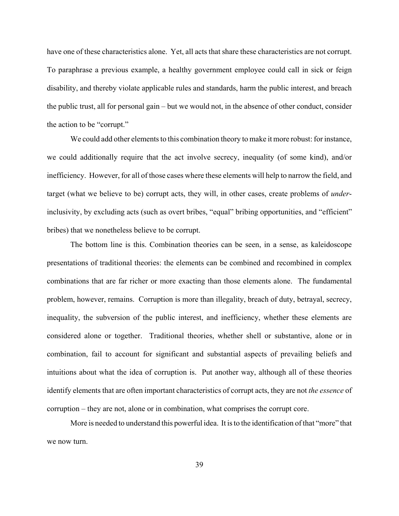have one of these characteristics alone. Yet, all acts that share these characteristics are not corrupt. To paraphrase a previous example, a healthy government employee could call in sick or feign disability, and thereby violate applicable rules and standards, harm the public interest, and breach the public trust, all for personal gain – but we would not, in the absence of other conduct, consider the action to be "corrupt."

We could add other elements to this combination theory to make it more robust: for instance, we could additionally require that the act involve secrecy, inequality (of some kind), and/or inefficiency. However, for all of those cases where these elements will help to narrow the field, and target (what we believe to be) corrupt acts, they will, in other cases, create problems of *under*inclusivity, by excluding acts (such as overt bribes, "equal" bribing opportunities, and "efficient" bribes) that we nonetheless believe to be corrupt.

The bottom line is this. Combination theories can be seen, in a sense, as kaleidoscope presentations of traditional theories: the elements can be combined and recombined in complex combinations that are far richer or more exacting than those elements alone. The fundamental problem, however, remains. Corruption is more than illegality, breach of duty, betrayal, secrecy, inequality, the subversion of the public interest, and inefficiency, whether these elements are considered alone or together. Traditional theories, whether shell or substantive, alone or in combination, fail to account for significant and substantial aspects of prevailing beliefs and intuitions about what the idea of corruption is. Put another way, although all of these theories identify elements that are often important characteristics of corrupt acts, they are not *the essence* of corruption – they are not, alone or in combination, what comprises the corrupt core.

More is needed to understand this powerful idea. It is to the identification of that "more" that we now turn.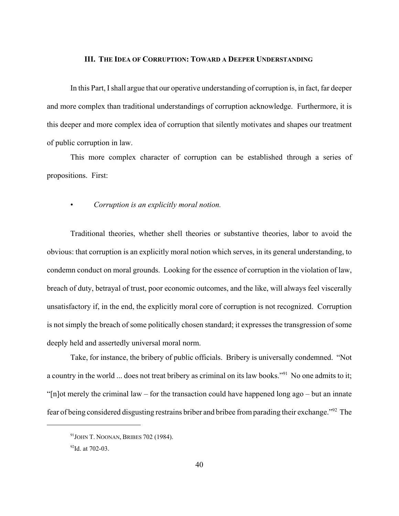#### **III. THE IDEA OF CORRUPTION: TOWARD A DEEPER UNDERSTANDING**

In this Part, I shall argue that our operative understanding of corruption is, in fact, far deeper and more complex than traditional understandings of corruption acknowledge. Furthermore, it is this deeper and more complex idea of corruption that silently motivates and shapes our treatment of public corruption in law.

This more complex character of corruption can be established through a series of propositions. First:

• *Corruption is an explicitly moral notion.*

Traditional theories, whether shell theories or substantive theories, labor to avoid the obvious: that corruption is an explicitly moral notion which serves, in its general understanding, to condemn conduct on moral grounds. Looking for the essence of corruption in the violation of law, breach of duty, betrayal of trust, poor economic outcomes, and the like, will always feel viscerally unsatisfactory if, in the end, the explicitly moral core of corruption is not recognized. Corruption is not simply the breach of some politically chosen standard; it expresses the transgression of some deeply held and assertedly universal moral norm.

Take, for instance, the bribery of public officials. Bribery is universally condemned. "Not a country in the world ... does not treat bribery as criminal on its law books."91 No one admits to it; "[n]ot merely the criminal law – for the transaction could have happened long ago – but an innate fear of being considered disgusting restrains briber and bribee from parading their exchange."92 The

<sup>91</sup>JOHN T. NOONAN, BRIBES 702 (1984).

<sup>92</sup>Id. at 702-03.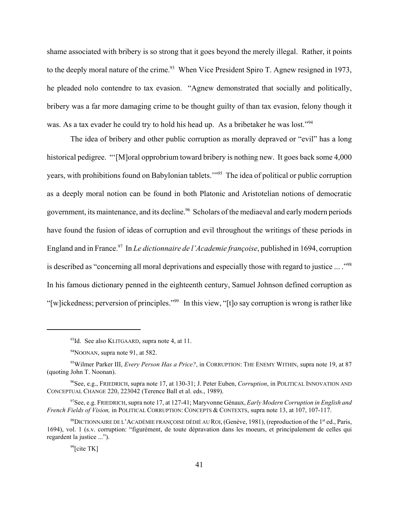shame associated with bribery is so strong that it goes beyond the merely illegal. Rather, it points to the deeply moral nature of the crime.<sup>93</sup> When Vice President Spiro T. Agnew resigned in 1973, he pleaded nolo contendre to tax evasion. "Agnew demonstrated that socially and politically, bribery was a far more damaging crime to be thought guilty of than tax evasion, felony though it was. As a tax evader he could try to hold his head up. As a bribetaker he was lost."<sup>94</sup>

The idea of bribery and other public corruption as morally depraved or "evil" has a long historical pedigree. "'[M]oral opprobrium toward bribery is nothing new. It goes back some 4,000 years, with prohibitions found on Babylonian tablets.'"95 The idea of political or public corruption as a deeply moral notion can be found in both Platonic and Aristotelian notions of democratic government, its maintenance, and its decline.<sup>96</sup> Scholars of the mediaeval and early modern periods have found the fusion of ideas of corruption and evil throughout the writings of these periods in England and in France.97 In *Le dictionnaire de l'Academie françoise*, published in 1694, corruption is described as "concerning all moral deprivations and especially those with regard to justice ... ."<sup>98</sup> In his famous dictionary penned in the eighteenth century, Samuel Johnson defined corruption as "[w]ickedness; perversion of principles."99 In this view, "[t]o say corruption is wrong is rather like

<sup>93</sup>Id. See also KLITGAARD, supra note 4, at 11.

<sup>&</sup>lt;sup>94</sup>NOONAN, supra note 91, at 582.

<sup>95</sup>Wilmer Parker III, *Every Person Has a Price?*, in CORRUPTION: THE ENEMY WITHIN, supra note 19, at 87 (quoting John T. Noonan).

<sup>96</sup>See, e.g., FRIEDRICH, supra note 17, at 130-31; J. Peter Euben, *Corruption*, in POLITICAL INNOVATION AND CONCEPTUAL CHANGE 220, 223042 (Terence Ball et al. eds., 1989).

<sup>97</sup>See, e.g. FRIEDRICH, supra note 17, at 127-41; Maryvonne Génaux, *Early Modern Corruption in English and French Fields of Vision,* in POLITICAL CORRUPTION: CONCEPTS & CONTEXTS, supra note 13, at 107, 107-117.

<sup>&</sup>lt;sup>98</sup>DICTIONNAIRE DE L'ACADÉMIE FRANÇOISE DÉDIÉ AU ROI, (Genève, 1981), (reproduction of the 1<sup>st</sup> ed., Paris, 1694), vol. 1 (s.v. corruption: "figurément, de toute dépravation dans les moeurs, et principalement de celles qui regardent la justice ...").

 $99$ [cite TK]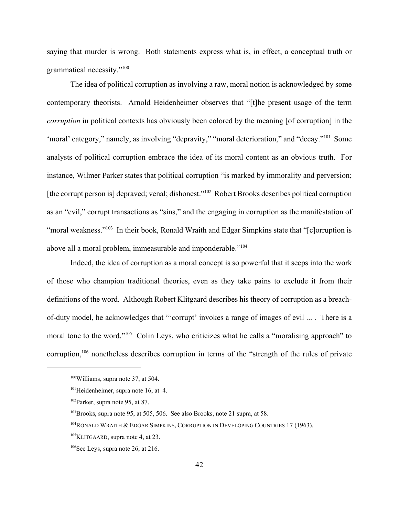saying that murder is wrong. Both statements express what is, in effect, a conceptual truth or grammatical necessity."100

The idea of political corruption as involving a raw, moral notion is acknowledged by some contemporary theorists. Arnold Heidenheimer observes that "[t]he present usage of the term *corruption* in political contexts has obviously been colored by the meaning [of corruption] in the 'moral' category," namely, as involving "depravity," "moral deterioration," and "decay."101 Some analysts of political corruption embrace the idea of its moral content as an obvious truth. For instance, Wilmer Parker states that political corruption "is marked by immorality and perversion; [the corrupt person is] depraved; venal; dishonest.<sup>"102</sup> Robert Brooks describes political corruption as an "evil," corrupt transactions as "sins," and the engaging in corruption as the manifestation of "moral weakness."103 In their book, Ronald Wraith and Edgar Simpkins state that "[c]orruption is above all a moral problem, immeasurable and imponderable."104

Indeed, the idea of corruption as a moral concept is so powerful that it seeps into the work of those who champion traditional theories, even as they take pains to exclude it from their definitions of the word. Although Robert Klitgaard describes his theory of corruption as a breachof-duty model, he acknowledges that "'corrupt' invokes a range of images of evil ... . There is a moral tone to the word."<sup>105</sup> Colin Leys, who criticizes what he calls a "moralising approach" to corruption,<sup>106</sup> nonetheless describes corruption in terms of the "strength of the rules of private"

<sup>100</sup>Williams, supra note 37, at 504.

<sup>&</sup>lt;sup>101</sup>Heidenheimer, supra note 16, at 4.

<sup>102</sup>Parker, supra note 95, at 87.

<sup>&</sup>lt;sup>103</sup>Brooks, supra note 95, at 505, 506. See also Brooks, note 21 supra, at 58.

<sup>&</sup>lt;sup>104</sup>RONALD WRAITH & EDGAR SIMPKINS, CORRUPTION IN DEVELOPING COUNTRIES 17 (1963).

<sup>105</sup>KLITGAARD, supra note 4, at 23.

<sup>&</sup>lt;sup>106</sup>See Leys, supra note 26, at 216.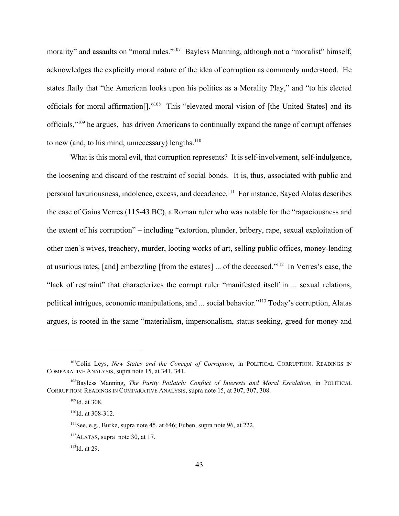morality" and assaults on "moral rules."<sup>107</sup> Bayless Manning, although not a "moralist" himself, acknowledges the explicitly moral nature of the idea of corruption as commonly understood. He states flatly that "the American looks upon his politics as a Morality Play," and "to his elected officials for moral affirmation[]."108 This "elevated moral vision of [the United States] and its officials,"109 he argues, has driven Americans to continually expand the range of corrupt offenses to new (and, to his mind, unnecessary) lengths. $110$ 

What is this moral evil, that corruption represents? It is self-involvement, self-indulgence, the loosening and discard of the restraint of social bonds. It is, thus, associated with public and personal luxuriousness, indolence, excess, and decadence.111 For instance, Sayed Alatas describes the case of Gaius Verres (115-43 BC), a Roman ruler who was notable for the "rapaciousness and the extent of his corruption" – including "extortion, plunder, bribery, rape, sexual exploitation of other men's wives, treachery, murder, looting works of art, selling public offices, money-lending at usurious rates, [and] embezzling [from the estates] ... of the deceased."112 In Verres's case, the "lack of restraint" that characterizes the corrupt ruler "manifested itself in ... sexual relations, political intrigues, economic manipulations, and ... social behavior."113 Today's corruption, Alatas argues, is rooted in the same "materialism, impersonalism, status-seeking, greed for money and

<sup>&</sup>lt;sup>107</sup>Colin Leys, *New States and the Concept of Corruption*, in POLITICAL CORRUPTION: READINGS IN COMPARATIVE ANALYSIS, supra note 15, at 341, 341.

<sup>108</sup>Bayless Manning, *The Purity Potlatch: Conflict of Interests and Moral Escalation*, in POLITICAL CORRUPTION: READINGS IN COMPARATIVE ANALYSIS, supra note 15, at 307, 307, 308.

<sup>&</sup>lt;sup>109</sup>Id. at 308.

 $110$ Id. at 308-312.

 $111$ See, e.g., Burke, supra note 45, at 646; Euben, supra note 96, at 222.

<sup>112</sup>ALATAS, supra note 30, at 17.

 $113$ Id. at 29.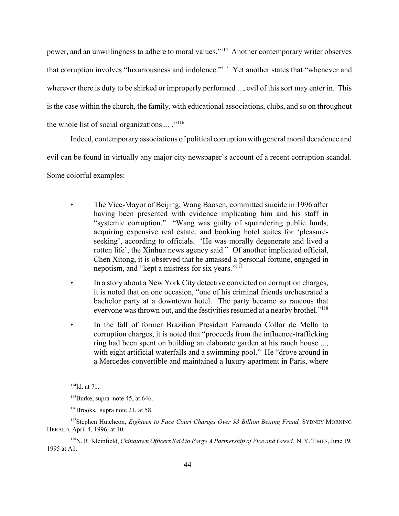power, and an unwillingness to adhere to moral values."114 Another contemporary writer observes that corruption involves "luxuriousness and indolence."115 Yet another states that "whenever and wherever there is duty to be shirked or improperly performed ..., evil of this sort may enter in. This is the case within the church, the family, with educational associations, clubs, and so on throughout the whole list of social organizations ... ."<sup>116</sup>

Indeed, contemporary associations of political corruption with general moral decadence and evil can be found in virtually any major city newspaper's account of a recent corruption scandal. Some colorful examples:

- The Vice-Mayor of Beijing, Wang Baosen, committed suicide in 1996 after having been presented with evidence implicating him and his staff in "systemic corruption." "Wang was guilty of squandering public funds, acquiring expensive real estate, and booking hotel suites for 'pleasureseeking', according to officials. 'He was morally degenerate and lived a rotten life', the Xinhua news agency said." Of another implicated official, Chen Xitong, it is observed that he amassed a personal fortune, engaged in nepotism, and "kept a mistress for six years."<sup>117</sup>
- In a story about a New York City detective convicted on corruption charges, it is noted that on one occasion, "one of his criminal friends orchestrated a bachelor party at a downtown hotel. The party became so raucous that everyone was thrown out, and the festivities resumed at a nearby brothel."118
- In the fall of former Brazilian President Farnando Collor de Mello to corruption charges, it is noted that "proceeds from the influence-trafficking ring had been spent on building an elaborate garden at his ranch house ..., with eight artificial waterfalls and a swimming pool." He "drove around in a Mercedes convertible and maintained a luxury apartment in Paris, where

 $114$ Id. at 71.

 $115$ Burke, supra note 45, at 646.

<sup>116</sup>Brooks, supra note 21, at 58.

<sup>117</sup>Stephen Hutcheon, *Eighteen to Face Court Charges Over \$3 Billion Beijing Fraud,* SYDNEY MORNING HERALD, April 4, 1996, at 10.

<sup>118</sup>N. R. Kleinfield, *Chinatown Officers Said to Forge A Partnership of Vice and Greed,* N. Y.TIMES, June 19, 1995 at A1.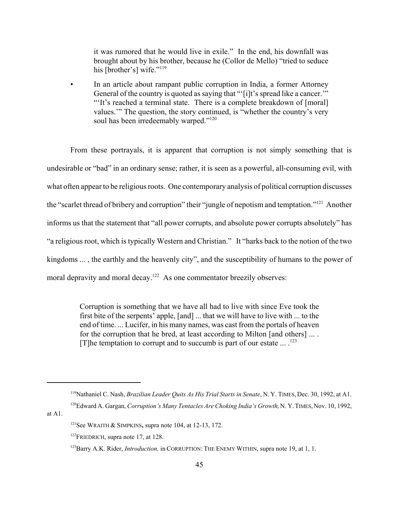it was rumored that he would live in exile." In the end, his downfall was brought about by his brother, because he (Collor de Mello) "tried to seduce his [brother's] wife."<sup>119</sup>

• In an article about rampant public corruption in India, a former Attorney General of the country is quoted as saying that "'[i]t's spread like a cancer.'" "It's reached a terminal state. There is a complete breakdown of [moral] values.'" The question, the story continued, is "whether the country's very soul has been irredeemably warped."<sup>120</sup>

From these portrayals, it is apparent that corruption is not simply something that is undesirable or "bad" in an ordinary sense; rather, it is seen as a powerful, all-consuming evil, with what often appear to be religious roots. One contemporary analysis of political corruption discusses the "scarlet thread of bribery and corruption" their "jungle of nepotism and temptation."121 Another informs us that the statement that "all power corrupts, and absolute power corrupts absolutely" has "a religious root, which is typically Western and Christian." It "harks back to the notion of the two kingdoms ... , the earthly and the heavenly city", and the susceptibility of humans to the power of moral depravity and moral decay.<sup>122</sup> As one commentator breezily observes:

> Corruption is something that we have all had to live with since Eve took the first bite of the serpents' apple, [and] ... that we will have to live with ... to the end of time. ... Lucifer, in his many names, was cast from the portals of heaven for the corruption that he bred, at least according to Milton [and others] ... . [T] he temptation to corrupt and to succumb is part of our estate  $\dots$ <sup>123</sup> Ì

at A1.

<sup>119</sup>Nathaniel C. Nash, *Brazilian Leader Quits As His Trial Starts in Senate*, N. Y. TIMES, Dec. 30, 1992, at A1.

<sup>120</sup>Edward A. Gargan, *Corruption's Many Tentacles Are Choking India's Growth,*N. Y.TIMES,Nov. 10, 1992,

<sup>121</sup>See WRAITH & SIMPKINS**,** supra note 104, at 12-13, 172.

<sup>&</sup>lt;sup>122</sup>FRIEDRICH, supra note 17, at 128.

<sup>123</sup>Barry A.K. Rider, *Introduction,* in CORRUPTION: THE ENEMY WITHIN, supra note 19, at 1, 1.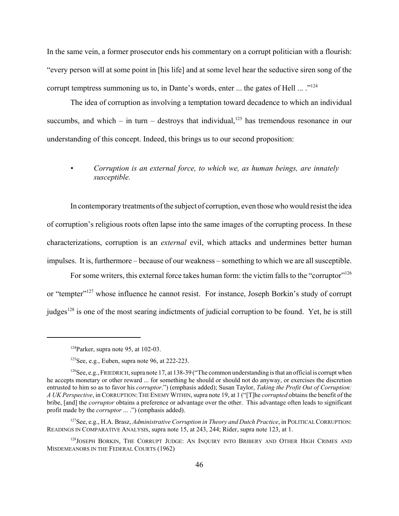In the same vein, a former prosecutor ends his commentary on a corrupt politician with a flourish: "every person will at some point in [his life] and at some level hear the seductive siren song of the corrupt temptress summoning us to, in Dante's words, enter ... the gates of Hell ... ."124

 The idea of corruption as involving a temptation toward decadence to which an individual succumbs, and which – in turn – destroys that individual,<sup>125</sup> has tremendous resonance in our understanding of this concept. Indeed, this brings us to our second proposition:

## *• Corruption is an external force, to which we, as human beings, are innately susceptible.*

In contemporary treatments of the subject of corruption, even those who would resist the idea of corruption's religious roots often lapse into the same images of the corrupting process. In these characterizations, corruption is an *external* evil, which attacks and undermines better human impulses. It is, furthermore – because of our weakness – something to which we are all susceptible.

For some writers, this external force takes human form: the victim falls to the "corruptor"<sup>126</sup> or "tempter"127 whose influence he cannot resist. For instance, Joseph Borkin's study of corrupt judges<sup>128</sup> is one of the most searing indictments of judicial corruption to be found. Yet, he is still

127See, e.g., H.A. Brasz, *Administrative Corruption in Theory and Dutch Practice*, in POLITICAL CORRUPTION: READINGS IN COMPARATIVE ANALYSIS, supra note 15, at 243, 244; Rider, supra note 123, at 1.

 $124$ Parker, supra note 95, at 102-03.

 $125$ See, e.g., Euben, supra note 96, at 222-223.

 $126$ See, e.g., FRIEDRICH, supra note 17, at 138-39 ("The common understanding is that an official is corrupt when he accepts monetary or other reward ... for something he should or should not do anyway, or exercises the discretion entrusted to him so as to favor his *corruptor*.") (emphasis added); Susan Taylor, *Taking the Profit Out of Corruption: A UK Perspective*, in CORRUPTION:THE ENEMY WITHIN, supra note 19, at 1 ("[T]he *corrupted* obtains the benefit of the bribe, [and] the *corruptor* obtains a preference or advantage over the other. This advantage often leads to significant profit made by the *corruptor* ... .") (emphasis added).

<sup>&</sup>lt;sup>128</sup>JOSEPH BORKIN, THE CORRUPT JUDGE: AN INQUIRY INTO BRIBERY AND OTHER HIGH CRIMES AND MISDEMEANORS IN THE FEDERAL COURTS (1962)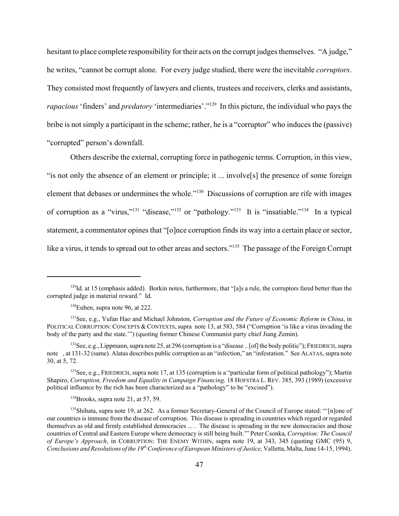hesitant to place complete responsibility for their acts on the corrupt judges themselves. "A judge," he writes, "cannot be corrupt alone. For every judge studied, there were the inevitable *corruptors*. They consisted most frequently of lawyers and clients, trustees and receivers, clerks and assistants, *rapacious* 'finders' and *predatory* 'intermediaries'."129 In this picture, the individual who pays the bribe is not simply a participant in the scheme; rather, he is a "corruptor" who induces the (passive) "corrupted" person's downfall.

Others describe the external, corrupting force in pathogenic terms. Corruption, in this view, "is not only the absence of an element or principle; it ... involve[s] the presence of some foreign element that debases or undermines the whole."130 Discussions of corruption are rife with images of corruption as a "virus,"131 "disease,"132 or "pathology."133 It is "insatiable."134 In a typical statement, a commentator opines that "[o]nce corruption finds its way into a certain place or sector, like a virus, it tends to spread out to other areas and sectors."<sup>135</sup> The passage of the Foreign Corrupt

 $134$ Brooks, supra note 21, at 57, 59.

 $129$ Id. at 15 (emphasis added). Borkin notes, furthermore, that "[a]s a rule, the corruptors fared better than the corrupted judge in material reward." Id.

<sup>130</sup>Euben, supra note 96, at 222.

<sup>131</sup>See, e.g., Yufan Hao and Michael Johnston, *Corruption and the Future of Economic Reform in China*, in POLITICAL CORRUPTION: CONCEPTS & CONTEXTS, supra note 13, at 583, 584 ("Corruption 'is like a virus invading the body of the party and the state.'") (quoting former Chinese Communist party chief Jiang Zemin).

<sup>&</sup>lt;sup>132</sup>See, e.g., Lippmann, supra note 25, at 296 (corruption is a "disease .. [of] the body politic"); FRIEDRICH, supra note , at 131-32 (same). Alatas describes public corruption as an "infection," an "infestation." See ALATAS, supra note 30, at 5, 72.

<sup>133</sup>See, e.g., FRIEDRICH, supra note 17, at 135 (corruption is a "particular form of political pathology"); Martin Shapiro, *Corruption, Freedom and Equality in Campaign Financing,* 18 HOFSTRA L. REV. 385, 393 (1989) (excessive political influence by the rich has been characterized as a "pathology" to be "excised").

<sup>135</sup>Shihata, supra note 19, at 262. As a former Secretary-General of the Council of Europe stated: "'[n]one of our countries is immune from the disease of corruption. This disease is spreading in countries which regard or regarded themselves as old and firmly established democracies ... . The disease is spreading in the new democracies and those countries of Central and Eastern Europe where democracy is still being built.'" Peter Csonka, *Corruption: The Council of Europe's Approach*, in CORRUPTION: THE ENEMY WITHIN, supra note 19, at 343, 345 (quoting GMC (95) 9, *Conclusions and Resolutions of the 19th Conference of European Ministers of Justice,* Valletta, Malta, June 14-15, 1994).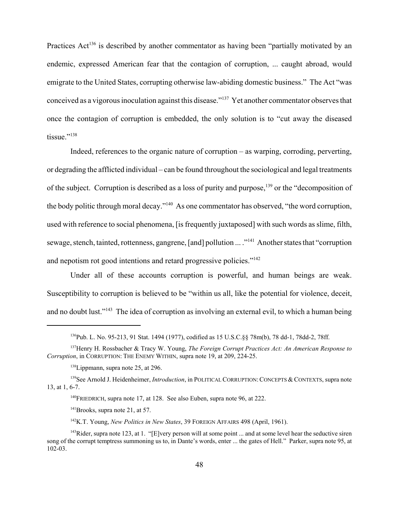Practices Act<sup>136</sup> is described by another commentator as having been "partially motivated by an endemic, expressed American fear that the contagion of corruption, ... caught abroad, would emigrate to the United States, corrupting otherwise law-abiding domestic business." The Act "was conceived as a vigorous inoculation against this disease."137 Yet another commentator observes that once the contagion of corruption is embedded, the only solution is to "cut away the diseased tissue."<sup>138</sup>

 Indeed, references to the organic nature of corruption – as warping, corroding, perverting, or degrading the afflicted individual – can be found throughout the sociological and legal treatments of the subject. Corruption is described as a loss of purity and purpose,139 or the "decomposition of the body politic through moral decay."140 As one commentator has observed, "the word corruption, used with reference to social phenomena, [is frequently juxtaposed] with such words as slime, filth, sewage, stench, tainted, rottenness, gangrene, [and] pollution ... ."141 Another states that "corruption and nepotism rot good intentions and retard progressive policies."<sup>142</sup>

Under all of these accounts corruption is powerful, and human beings are weak. Susceptibility to corruption is believed to be "within us all, like the potential for violence, deceit, and no doubt lust."<sup>143</sup> The idea of corruption as involving an external evil, to which a human being

142K.T. Young, *New Politics in New States*, 39 FOREIGN AFFAIRS 498 (April, 1961).

<sup>136</sup>Pub. L. No. 95-213, 91 Stat. 1494 (1977), codified as 15 U.S.C.§§ 78m(b), 78 dd-1, 78dd-2, 78ff.

<sup>137</sup>Henry H. Rossbacher & Tracy W. Young, *The Foreign Corrupt Practices Act: An American Response to Corruption*, in CORRUPTION: THE ENEMY WITHIN, supra note 19, at 209, 224-25.

<sup>&</sup>lt;sup>138</sup>Lippmann, supra note 25, at 296.

<sup>&</sup>lt;sup>139</sup>See Arnold J. Heidenheimer, *Introduction*, in POLITICAL CORRUPTION: CONCEPTS & CONTEXTS, supra note 13, at 1, 6-7.

<sup>&</sup>lt;sup>140</sup>FRIEDRICH, supra note 17, at 128. See also Euben, supra note 96, at 222.

 $141$ Brooks, supra note 21, at 57.

<sup>&</sup>lt;sup>143</sup>Rider, supra note 123, at 1. "[E]very person will at some point ... and at some level hear the seductive siren song of the corrupt temptress summoning us to, in Dante's words, enter ... the gates of Hell." Parker, supra note 95, at 102-03.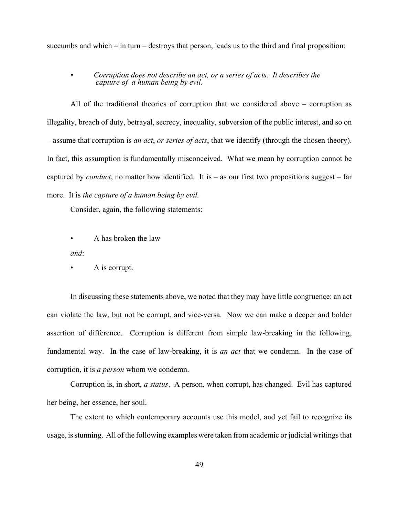succumbs and which – in turn – destroys that person, leads us to the third and final proposition:

*• Corruption does not describe an act, or a series of acts. It describes the capture of a human being by evil.*

All of the traditional theories of corruption that we considered above – corruption as illegality, breach of duty, betrayal, secrecy, inequality, subversion of the public interest, and so on – assume that corruption is *an act*, *or series of acts*, that we identify (through the chosen theory). In fact, this assumption is fundamentally misconceived. What we mean by corruption cannot be captured by *conduct*, no matter how identified. It is – as our first two propositions suggest – far more. It is *the capture of a human being by evil.*

Consider, again, the following statements:

- A has broken the law *and*:
- A is corrupt.

In discussing these statements above, we noted that they may have little congruence: an act can violate the law, but not be corrupt, and vice-versa. Now we can make a deeper and bolder assertion of difference. Corruption is different from simple law-breaking in the following, fundamental way. In the case of law-breaking, it is *an act* that we condemn. In the case of corruption, it is *a person* whom we condemn.

Corruption is, in short, *a status*. A person, when corrupt, has changed. Evil has captured her being, her essence, her soul.

The extent to which contemporary accounts use this model, and yet fail to recognize its usage, is stunning. All of the following examples were taken from academic or judicial writings that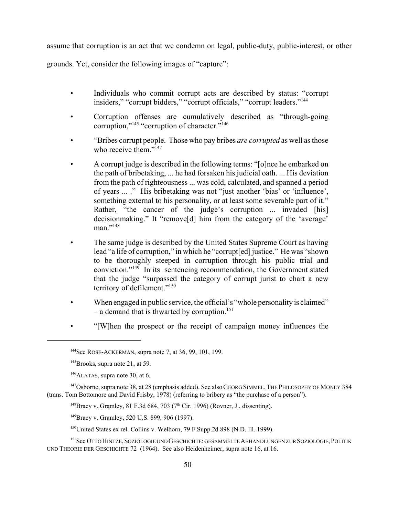assume that corruption is an act that we condemn on legal, public-duty, public-interest, or other

grounds. Yet, consider the following images of "capture":

- Individuals who commit corrupt acts are described by status: "corrupt insiders," "corrupt bidders," "corrupt officials," "corrupt leaders."144
- Corruption offenses are cumulatively described as "through-going corruption,"145 "corruption of character."146
- "Bribes corrupt people. Those who pay bribes *are corrupted* as well as those who receive them."<sup>147</sup>
- A corrupt judge is described in the following terms: "[o]nce he embarked on the path of bribetaking, ... he had forsaken his judicial oath. ... His deviation from the path of righteousness ... was cold, calculated, and spanned a period of years ... ." His bribetaking was not "just another 'bias' or 'influence', something external to his personality, or at least some severable part of it." Rather, "the cancer of the judge's corruption ... invaded [his] decisionmaking." It "remove[d] him from the category of the 'average' man."<sup>148</sup>
- The same judge is described by the United States Supreme Court as having lead "a life of corruption," in which he "corrupt[ed] justice." He was "shown to be thoroughly steeped in corruption through his public trial and conviction."149 In its sentencing recommendation, the Government stated that the judge "surpassed the category of corrupt jurist to chart a new territory of defilement."150
- When engaged in public service, the official's "whole personality is claimed" – a demand that is thwarted by corruption.<sup>151</sup>
- "[W]hen the prospect or the receipt of campaign money influences the

<sup>151</sup>See OTTO HINTZE, SOZIOLOGIE UND GESCHICHTE: GESAMMELTE ABHANDLUNGEN ZUR SOZIOLOGIE, POLITIK UND THEORIE DER GESCHICHTE 72 (1964). See also Heidenheimer, supra note 16, at 16.

<sup>144</sup>See ROSE-ACKERMAN, supra note 7, at 36, 99, 101, 199.

<sup>&</sup>lt;sup>145</sup>Brooks, supra note 21, at 59.

 $146$ ALATAS, supra note 30, at 6.

<sup>&</sup>lt;sup>147</sup>Osborne, supra note 38, at 28 (emphasis added). See also GEORG SIMMEL, THE PHILOSOPHY OF MONEY 384 (trans. Tom Bottomore and David Frisby, 1978) (referring to bribery as "the purchase of a person").

<sup>&</sup>lt;sup>148</sup>Bracy v. Gramley, 81 F.3d 684, 703 ( $7<sup>th</sup>$  Cir. 1996) (Rovner, J., dissenting).

<sup>149</sup>Bracy v. Gramley, 520 U.S. 899, 906 (1997).

<sup>150</sup>United States ex rel. Collins v. Welborn, 79 F.Supp.2d 898 (N.D. Ill. 1999).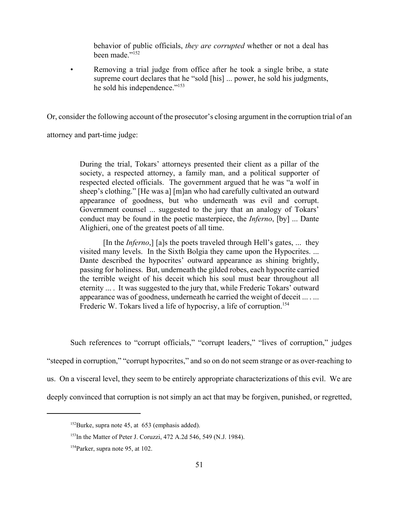behavior of public officials, *they are corrupted* whether or not a deal has been made."<sup>152</sup>

• Removing a trial judge from office after he took a single bribe, a state supreme court declares that he "sold [his] ... power, he sold his judgments, he sold his independence."153

Or, consider the following account of the prosecutor's closing argument in the corruption trial of an

attorney and part-time judge:

During the trial, Tokars' attorneys presented their client as a pillar of the society, a respected attorney, a family man, and a political supporter of respected elected officials. The government argued that he was "a wolf in sheep's clothing." [He was a] [m]an who had carefully cultivated an outward appearance of goodness, but who underneath was evil and corrupt. Government counsel ... suggested to the jury that an analogy of Tokars' conduct may be found in the poetic masterpiece, the *Inferno*, [by] ... Dante Alighieri, one of the greatest poets of all time.

[In the *Inferno*,] [a]s the poets traveled through Hell's gates, ... they visited many levels. In the Sixth Bolgia they came upon the Hypocrites. ... Dante described the hypocrites' outward appearance as shining brightly, passing for holiness. But, underneath the gilded robes, each hypocrite carried the terrible weight of his deceit which his soul must bear throughout all eternity ... . It was suggested to the jury that, while Frederic Tokars' outward appearance was of goodness, underneath he carried the weight of deceit ... . ... Frederic W. Tokars lived a life of hypocrisy, a life of corruption.<sup>154</sup>

Such references to "corrupt officials," "corrupt leaders," "lives of corruption," judges "steeped in corruption," "corrupt hypocrites," and so on do not seem strange or as over-reaching to us. On a visceral level, they seem to be entirely appropriate characterizations of this evil. We are deeply convinced that corruption is not simply an act that may be forgiven, punished, or regretted,

 $152$ Burke, supra note 45, at 653 (emphasis added).

<sup>&</sup>lt;sup>153</sup>In the Matter of Peter J. Coruzzi, 472 A.2d 546, 549 (N.J. 1984).

<sup>154</sup>Parker, supra note 95, at 102.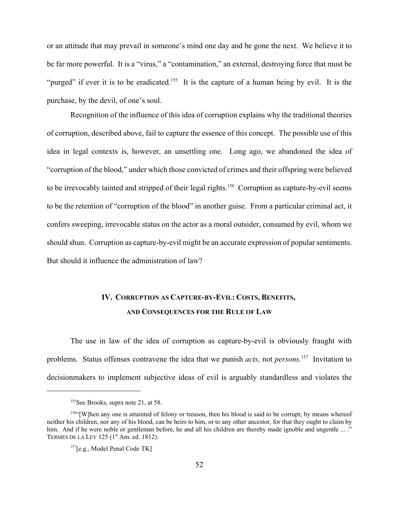or an attitude that may prevail in someone's mind one day and be gone the next. We believe it to be far more powerful. It is a "virus," a "contamination," an external, destroying force that must be "purged" if ever it is to be eradicated.<sup>155</sup> It is the capture of a human being by evil. It is the purchase, by the devil, of one's soul.

Recognition of the influence of this idea of corruption explains why the traditional theories of corruption, described above, fail to capture the essence of this concept. The possible use of this idea in legal contexts is, however, an unsettling one. Long ago, we abandoned the idea of "corruption of the blood," under which those convicted of crimes and their offspring were believed to be irrevocably tainted and stripped of their legal rights.<sup>156</sup> Corruption as capture-by-evil seems to be the retention of "corruption of the blood" in another guise. From a particular criminal act, it confers sweeping, irrevocable status on the actor as a moral outsider, consumed by evil, whom we should shun. Corruption as capture-by-evil might be an accurate expression of popular sentiments. But should it influence the administration of law?

# **IV. CORRUPTION AS CAPTURE-BY-EVIL: COSTS, BENEFITS, AND CONSEQUENCES FOR THE RULE OF LAW**

The use in law of the idea of corruption as capture-by-evil is obviously fraught with problems. Status offenses contravene the idea that we punish *acts*, not *persons.*157 Invitation to decisionmakers to implement subjective ideas of evil is arguably standardless and violates the

<sup>&</sup>lt;sup>155</sup>See Brooks, supra note 21, at 58.

<sup>156&</sup>quot;[W]hen any one is attainted of felony or treason, then his blood is said to be corrupt; by means whereof neither his children, nor any of his blood, can be heirs to him, or to any other ancestor, for that they ought to claim by him. And if he were noble or gentleman before, he and all his children are thereby made ignoble and ungentle ... ." TERMES DE LA LEY 125 (1<sup>st</sup> Am. ed. 1812).

<sup>157[</sup>e.g., Model Penal Code TK]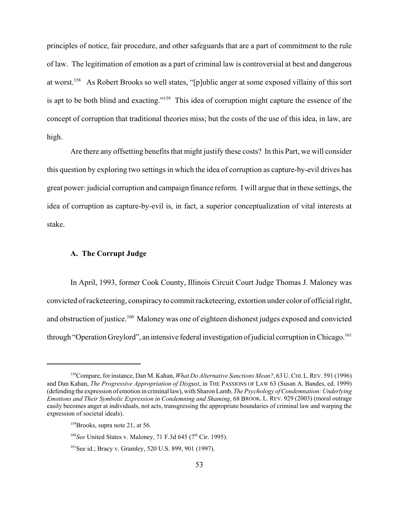principles of notice, fair procedure, and other safeguards that are a part of commitment to the rule of law. The legitimation of emotion as a part of criminal law is controversial at best and dangerous at worst.158 As Robert Brooks so well states, "[p]ublic anger at some exposed villainy of this sort is apt to be both blind and exacting."159 This idea of corruption might capture the essence of the concept of corruption that traditional theories miss; but the costs of the use of this idea, in law, are high.

Are there any offsetting benefits that might justify these costs? In this Part, we will consider this question by exploring two settings in which the idea of corruption as capture-by-evil drives has great power: judicial corruption and campaign finance reform. I will argue that in these settings, the idea of corruption as capture-by-evil is, in fact, a superior conceptualization of vital interests at stake.

#### **A. The Corrupt Judge**

In April, 1993, former Cook County, Illinois Circuit Court Judge Thomas J. Maloney was convicted of racketeering, conspiracy to commit racketeering, extortion under color of official right, and obstruction of justice.<sup>160</sup> Maloney was one of eighteen dishonest judges exposed and convicted through "Operation Greylord", an intensive federal investigation of judicial corruption in Chicago.<sup>161</sup>

<sup>158</sup>Compare, for instance, Dan M. Kahan, *What Do Alternative Sanctions Mean?*, 63 U. CHI.L.REV. 591 (1996) and Dan Kahan, *The Progressive Appropriation of Disgust*, in THE PASSIONS OF LAW 63 (Susan A. Bandes, ed. 1999) (defending the expression of emotion in criminal law), with Sharon Lamb, *The Psychology of Condemnation: Underlying Emotions and Their Symbolic Expression in Condemning and Shaming*, 68 BROOK. L. REV. 929 (2003) (moral outrage easily becomes anger at individuals, not acts, transgressing the appropriate boundaries of criminal law and warping the expression of societal ideals).

<sup>&</sup>lt;sup>159</sup>Brooks, supra note 21, at 56.

<sup>&</sup>lt;sup>160</sup>See United States v. Maloney, 71 F.3d 645 (7<sup>th</sup> Cir. 1995).

<sup>161</sup>See id.; Bracy v. Gramley, 520 U.S. 899, 901 (1997).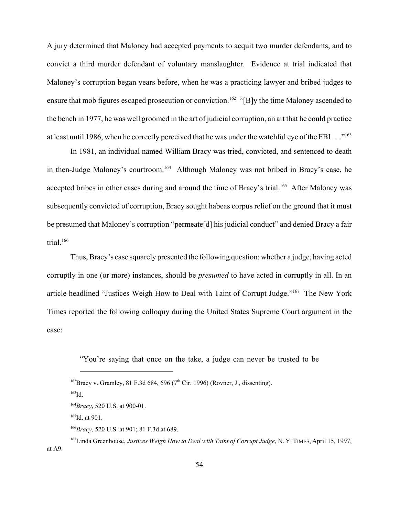A jury determined that Maloney had accepted payments to acquit two murder defendants, and to convict a third murder defendant of voluntary manslaughter. Evidence at trial indicated that Maloney's corruption began years before, when he was a practicing lawyer and bribed judges to ensure that mob figures escaped prosecution or conviction.<sup>162</sup> "[B]y the time Maloney ascended to the bench in 1977, he was well groomed in the art of judicial corruption, an art that he could practice at least until 1986, when he correctly perceived that he was under the watchful eye of the FBI ... .<sup>163</sup>

In 1981, an individual named William Bracy was tried, convicted, and sentenced to death in then-Judge Maloney's courtroom.<sup>164</sup> Although Maloney was not bribed in Bracy's case, he accepted bribes in other cases during and around the time of Bracy's trial.<sup>165</sup> After Maloney was subsequently convicted of corruption, Bracy sought habeas corpus relief on the ground that it must be presumed that Maloney's corruption "permeate[d] his judicial conduct" and denied Bracy a fair trial. $166$ 

Thus, Bracy's case squarely presented the following question: whether a judge, having acted corruptly in one (or more) instances, should be *presumed* to have acted in corruptly in all. In an article headlined "Justices Weigh How to Deal with Taint of Corrupt Judge."167 The New York Times reported the following colloquy during the United States Supreme Court argument in the case:

"You're saying that once on the take, a judge can never be trusted to be

<sup>&</sup>lt;sup>162</sup>Bracy v. Gramley, 81 F.3d 684, 696 (7<sup>th</sup> Cir. 1996) (Rovner, J., dissenting).

 $163$ Id.

<sup>164</sup>*Bracy*, 520 U.S. at 900-01.

 $165$ Id. at 901.

<sup>166</sup>*Bracy,* 520 U.S. at 901; 81 F.3d at 689.

<sup>167</sup>Linda Greenhouse, *Justices Weigh How to Deal with Taint of Corrupt Judge*, N. Y. TIMES, April 15, 1997, at A9.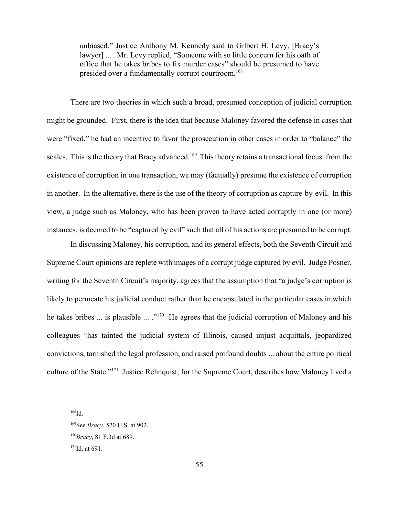unbiased," Justice Anthony M. Kennedy said to Gilbert H. Levy, [Bracy's lawyer] ... . Mr. Levy replied, "Someone with so little concern for his oath of office that he takes bribes to fix murder cases" should be presumed to have presided over a fundamentally corrupt courtroom.<sup>168</sup>

There are two theories in which such a broad, presumed conception of judicial corruption might be grounded. First, there is the idea that because Maloney favored the defense in cases that were "fixed," he had an incentive to favor the prosecution in other cases in order to "balance" the scales. This is the theory that Bracy advanced.<sup>169</sup> This theory retains a transactional focus: from the existence of corruption in one transaction, we may (factually) presume the existence of corruption in another. In the alternative, there is the use of the theory of corruption as capture-by-evil. In this view, a judge such as Maloney, who has been proven to have acted corruptly in one (or more) instances, is deemed to be "captured by evil" such that all of his actions are presumed to be corrupt.

In discussing Maloney, his corruption, and its general effects, both the Seventh Circuit and Supreme Court opinions are replete with images of a corrupt judge captured by evil. Judge Posner, writing for the Seventh Circuit's majority, agrees that the assumption that "a judge's corruption is likely to permeate his judicial conduct rather than be encapsulated in the particular cases in which he takes bribes ... is plausible ... ."<sup>170</sup> He agrees that the judicial corruption of Maloney and his colleagues "has tainted the judicial system of Illinois, caused unjust acquittals, jeopardized convictions, tarnished the legal profession, and raised profound doubts ... about the entire political culture of the State."171 Justice Rehnquist, for the Supreme Court, describes how Maloney lived a

 $168$ Id.

<sup>169</sup>See *Bracy*, 520 U.S. at 902.

<sup>170</sup>*Bracy*, 81 F.3d at 689.

 $171$ Id. at 691.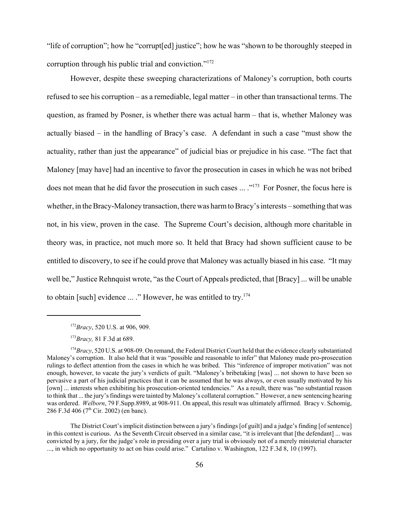"life of corruption"; how he "corrupt[ed] justice"; how he was "shown to be thoroughly steeped in corruption through his public trial and conviction."172

However, despite these sweeping characterizations of Maloney's corruption, both courts refused to see his corruption – as a remediable, legal matter – in other than transactional terms. The question, as framed by Posner, is whether there was actual harm – that is, whether Maloney was actually biased – in the handling of Bracy's case. A defendant in such a case "must show the actuality, rather than just the appearance" of judicial bias or prejudice in his case. "The fact that Maloney [may have] had an incentive to favor the prosecution in cases in which he was not bribed does not mean that he did favor the prosecution in such cases ... ."173 For Posner, the focus here is whether, in the Bracy-Maloney transaction, there was harm to Bracy's interests – something that was not, in his view, proven in the case. The Supreme Court's decision, although more charitable in theory was, in practice, not much more so. It held that Bracy had shown sufficient cause to be entitled to discovery, to see if he could prove that Maloney was actually biased in his case. "It may well be," Justice Rehnquist wrote, "as the Court of Appeals predicted, that [Bracy] ... will be unable to obtain [such] evidence ... ." However, he was entitled to try.174

<sup>172</sup>*Bracy*, 520 U.S. at 906, 909.

<sup>173</sup>*Bracy,* 81 F.3d at 689.

<sup>&</sup>lt;sup>174</sup>Bracy, 520 U.S. at 908-09. On remand, the Federal District Court held that the evidence clearly substantiated Maloney's corruption. It also held that it was "possible and reasonable to infer" that Maloney made pro-prosecution rulings to deflect attention from the cases in which he was bribed. This "inference of improper motivation" was not enough, however, to vacate the jury's verdicts of guilt. "Maloney's bribetaking [was] ... not shown to have been so pervasive a part of his judicial practices that it can be assumed that he was always, or even usually motivated by his [own] ... interests when exhibiting his prosecution-oriented tendencies." As a result, there was "no substantial reason to think that ... the jury's findings were tainted by Maloney's collateral corruption." However, a new sentencing hearing was ordered. *Welborn*, 79 F.Supp.8989, at 908-911. On appeal, this result was ultimately affirmed. Bracy v. Schomig, 286 F.3d 406 (7<sup>th</sup> Cir. 2002) (en banc).

The District Court's implicit distinction between a jury's findings [of guilt] and a judge's finding [of sentence] in this context is curious. As the Seventh Circuit observed in a similar case, "it is irrelevant that [the defendant] ... was convicted by a jury, for the judge's role in presiding over a jury trial is obviously not of a merely ministerial character ..., in which no opportunity to act on bias could arise." Cartalino v. Washington, 122 F.3d 8, 10 (1997).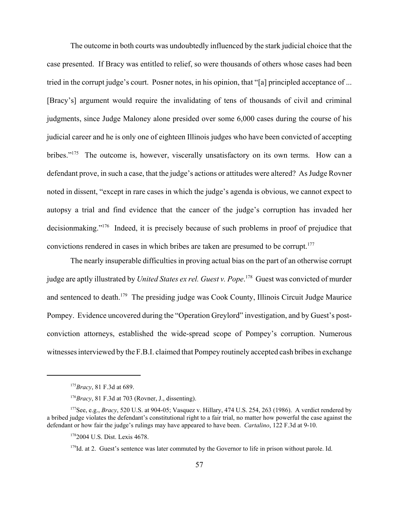The outcome in both courts was undoubtedly influenced by the stark judicial choice that the case presented. If Bracy was entitled to relief, so were thousands of others whose cases had been tried in the corrupt judge's court. Posner notes, in his opinion, that "[a] principled acceptance of ... [Bracy's] argument would require the invalidating of tens of thousands of civil and criminal judgments, since Judge Maloney alone presided over some 6,000 cases during the course of his judicial career and he is only one of eighteen Illinois judges who have been convicted of accepting bribes."<sup>175</sup> The outcome is, however, viscerally unsatisfactory on its own terms. How can a defendant prove, in such a case, that the judge's actions or attitudes were altered? As Judge Rovner noted in dissent, "except in rare cases in which the judge's agenda is obvious, we cannot expect to autopsy a trial and find evidence that the cancer of the judge's corruption has invaded her decisionmaking."176 Indeed, it is precisely because of such problems in proof of prejudice that convictions rendered in cases in which bribes are taken are presumed to be corrupt.<sup>177</sup>

The nearly insuperable difficulties in proving actual bias on the part of an otherwise corrupt judge are aptly illustrated by *United States ex rel. Guest v. Pope*. 178 Guest was convicted of murder and sentenced to death.<sup>179</sup> The presiding judge was Cook County, Illinois Circuit Judge Maurice Pompey. Evidence uncovered during the "Operation Greylord" investigation, and by Guest's postconviction attorneys, established the wide-spread scope of Pompey's corruption. Numerous witnesses interviewed by the F.B.I. claimed that Pompey routinely accepted cash bribes in exchange

<sup>175</sup>*Bracy*, 81 F.3d at 689.

<sup>176</sup>*Bracy*, 81 F.3d at 703 (Rovner, J., dissenting).

<sup>&</sup>lt;sup>177</sup>See, e.g., *Bracy*, 520 U.S. at 904-05; Vasquez v. Hillary, 474 U.S. 254, 263 (1986). A verdict rendered by a bribed judge violates the defendant's constitutional right to a fair trial, no matter how powerful the case against the defendant or how fair the judge's rulings may have appeared to have been. *Cartalino*, 122 F.3d at 9-10.

<sup>1782004</sup> U.S. Dist. Lexis 4678.

<sup>&</sup>lt;sup>179</sup>Id. at 2. Guest's sentence was later commuted by the Governor to life in prison without parole. Id.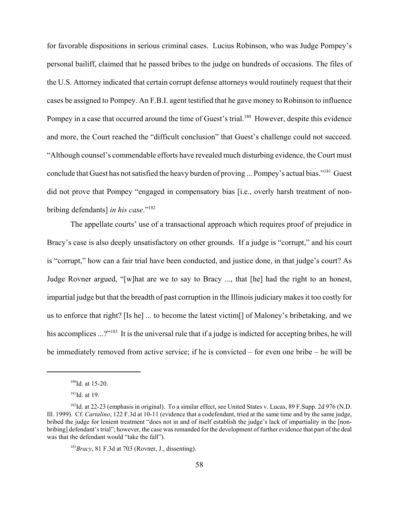for favorable dispositions in serious criminal cases. Lucius Robinson, who was Judge Pompey's personal bailiff, claimed that he passed bribes to the judge on hundreds of occasions. The files of the U.S. Attorney indicated that certain corrupt defense attorneys would routinely request that their cases be assigned to Pompey. An F.B.I. agent testified that he gave money to Robinson to influence Pompey in a case that occurred around the time of Guest's trial.<sup>180</sup> However, despite this evidence and more, the Court reached the "difficult conclusion" that Guest's challenge could not succeed. "Although counsel's commendable efforts have revealed much disturbing evidence, the Court must conclude that Guest has not satisfied the heavy burden of proving ... Pompey's actual bias."181 Guest did not prove that Pompey "engaged in compensatory bias [i.e., overly harsh treatment of nonbribing defendants] *in his case*."182

The appellate courts' use of a transactional approach which requires proof of prejudice in Bracy's case is also deeply unsatisfactory on other grounds. If a judge is "corrupt," and his court is "corrupt," how can a fair trial have been conducted, and justice done, in that judge's court? As Judge Rovner argued, "[w]hat are we to say to Bracy ..., that [he] had the right to an honest, impartial judge but that the breadth of past corruption in the Illinois judiciary makes it too costly for us to enforce that right? [Is he] ... to become the latest victim[] of Maloney's bribetaking, and we his accomplices ...?"<sup>183</sup> It is the universal rule that if a judge is indicted for accepting bribes, he will be immediately removed from active service; if he is convicted – for even one bribe – he will be

 $180$ Id. at 15-20.

<sup>&</sup>lt;sup>181</sup>Id. at 19.

<sup>&</sup>lt;sup>182</sup>Id. at 22-23 (emphasis in original). To a similar effect, see United States v. Lucas, 89 F. Supp. 2d 976 (N.D. Ill. 1999). Cf. *Cartalino*, 122 F.3d at 10-11 (evidence that a codefendant, tried at the same time and by the same judge, bribed the judge for lenient treatment "does not in and of itself establish the judge's lack of impartiality in the [nonbribing] defendant's trial"; however, the case was remanded for the development of further evidence that part of the deal was that the defendant would "take the fall").

<sup>183</sup>*Bracy*, 81 F.3d at 703 (Rovner, J., dissenting).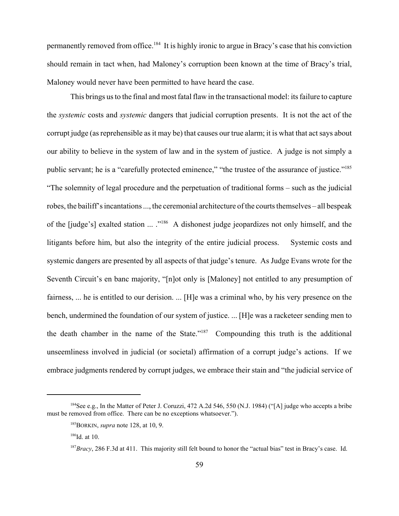permanently removed from office.<sup>184</sup> It is highly ironic to argue in Bracy's case that his conviction should remain in tact when, had Maloney's corruption been known at the time of Bracy's trial, Maloney would never have been permitted to have heard the case.

This brings us to the final and most fatal flaw in the transactional model: its failure to capture the *systemic* costs and *systemic* dangers that judicial corruption presents. It is not the act of the corrupt judge (as reprehensible as it may be) that causes our true alarm; it is what that act says about our ability to believe in the system of law and in the system of justice. A judge is not simply a public servant; he is a "carefully protected eminence," "the trustee of the assurance of justice."<sup>185</sup> "The solemnity of legal procedure and the perpetuation of traditional forms – such as the judicial robes, the bailiff's incantations ..., the ceremonial architecture of the courts themselves – all bespeak of the [judge's] exalted station ... ."<sup>186</sup> A dishonest judge jeopardizes not only himself, and the litigants before him, but also the integrity of the entire judicial process. Systemic costs and systemic dangers are presented by all aspects of that judge's tenure. As Judge Evans wrote for the Seventh Circuit's en banc majority, "[n]ot only is [Maloney] not entitled to any presumption of fairness, ... he is entitled to our derision. ... [H]e was a criminal who, by his very presence on the bench, undermined the foundation of our system of justice. ... [H]e was a racketeer sending men to the death chamber in the name of the State."187 Compounding this truth is the additional unseemliness involved in judicial (or societal) affirmation of a corrupt judge's actions. If we embrace judgments rendered by corrupt judges, we embrace their stain and "the judicial service of

<sup>184</sup>See e.g., In the Matter of Peter J. Coruzzi, 472 A.2d 546, 550 (N.J. 1984) ("[A] judge who accepts a bribe must be removed from office. There can be no exceptions whatsoever.").

<sup>185</sup>BORKIN, *supra* note 128, at 10, 9.

<sup>186</sup>Id. at 10.

<sup>&</sup>lt;sup>187</sup>Bracy, 286 F.3d at 411. This majority still felt bound to honor the "actual bias" test in Bracy's case. Id.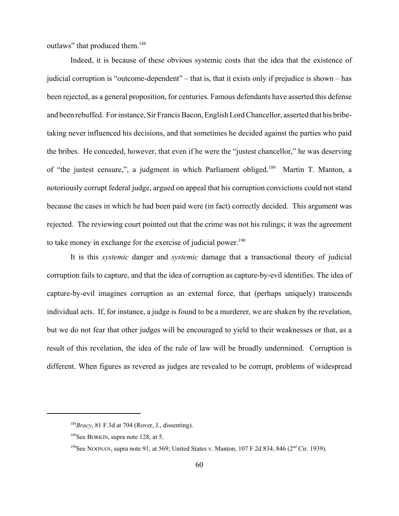outlaws" that produced them.<sup>188</sup>

Indeed, it is because of these obvious systemic costs that the idea that the existence of judicial corruption is "outcome-dependent" – that is, that it exists only if prejudice is shown – has been rejected, as a general proposition, for centuries. Famous defendants have asserted this defense and been rebuffed. For instance, Sir Francis Bacon, English Lord Chancellor, asserted that his bribetaking never influenced his decisions, and that sometimes he decided against the parties who paid the bribes. He conceded, however, that even if he were the "justest chancellor," he was deserving of "the justest censure,", a judgment in which Parliament obliged.<sup>189</sup> Martin T. Manton, a notoriously corrupt federal judge, argued on appeal that his corruption convictions could not stand because the cases in which he had been paid were (in fact) correctly decided. This argument was rejected. The reviewing court pointed out that the crime was not his rulings; it was the agreement to take money in exchange for the exercise of judicial power.<sup>190</sup>

It is this *systemic* danger and *systemic* damage that a transactional theory of judicial corruption fails to capture, and that the idea of corruption as capture-by-evil identifies. The idea of capture-by-evil imagines corruption as an external force, that (perhaps uniquely) transcends individual acts. If, for instance, a judge is found to be a murderer, we are shaken by the revelation, but we do not fear that other judges will be encouraged to yield to their weaknesses or that, as a result of this revelation, the idea of the rule of law will be broadly undermined. Corruption is different. When figures as revered as judges are revealed to be corrupt, problems of widespread

<sup>188</sup>*Bracy*, 81 F.3d at 704 (Rover, J., dissenting).

<sup>&</sup>lt;sup>189</sup>See BORKIN, supra note 128, at 5.

<sup>&</sup>lt;sup>190</sup>See NOONAN, supra note 91, at 569; United States v. Manton, 107 F.2d 834, 846 ( $2<sup>nd</sup>$  Cir. 1939).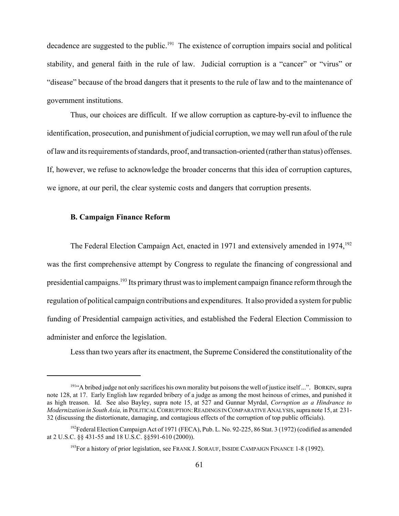decadence are suggested to the public.<sup>191</sup> The existence of corruption impairs social and political stability, and general faith in the rule of law. Judicial corruption is a "cancer" or "virus" or "disease" because of the broad dangers that it presents to the rule of law and to the maintenance of government institutions.

Thus, our choices are difficult. If we allow corruption as capture-by-evil to influence the identification, prosecution, and punishment of judicial corruption, we may well run afoul of the rule of law and its requirements of standards, proof, and transaction-oriented (rather than status) offenses. If, however, we refuse to acknowledge the broader concerns that this idea of corruption captures, we ignore, at our peril, the clear systemic costs and dangers that corruption presents.

#### **B. Campaign Finance Reform**

The Federal Election Campaign Act, enacted in 1971 and extensively amended in 1974,<sup>192</sup> was the first comprehensive attempt by Congress to regulate the financing of congressional and presidential campaigns.193 Its primary thrust was to implement campaign finance reform through the regulation of political campaign contributions and expenditures. It also provided a system for public funding of Presidential campaign activities, and established the Federal Election Commission to administer and enforce the legislation.

Less than two years after its enactment, the Supreme Considered the constitutionality of the

<sup>&</sup>lt;sup>191</sup>"A bribed judge not only sacrifices his own morality but poisons the well of justice itself ...". BORKIN, supra note 128, at 17. Early English law regarded bribery of a judge as among the most heinous of crimes, and punished it as high treason. Id. See also Bayley, supra note 15, at 527 and Gunnar Myrdal, *Corruption as a Hindrance to Modernization in South Asia, in POLITICAL CORRUPTION: READINGS IN COMPARATIVE ANALYSIS, supra note 15, at 231-*32 (discussing the distortionate, damaging, and contagious effects of the corruption of top public officials).

<sup>&</sup>lt;sup>192</sup>Federal Election Campaign Act of 1971 (FECA), Pub. L. No. 92-225, 86 Stat. 3 (1972) (codified as amended at 2 U.S.C. §§ 431-55 and 18 U.S.C. §§591-610 (2000)).

<sup>&</sup>lt;sup>193</sup>For a history of prior legislation, see FRANK J. SORAUF, INSIDE CAMPAIGN FINANCE 1-8 (1992).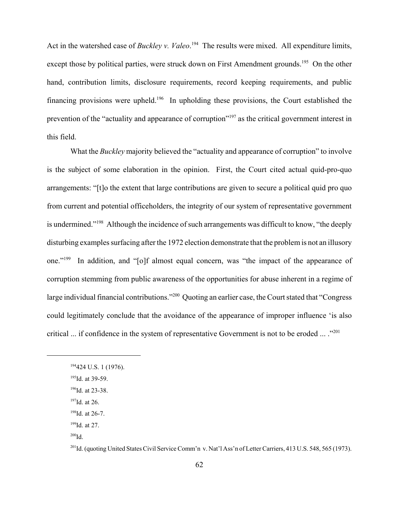Act in the watershed case of *Buckley v. Valeo*.<sup>194</sup> The results were mixed. All expenditure limits, except those by political parties, were struck down on First Amendment grounds.<sup>195</sup> On the other hand, contribution limits, disclosure requirements, record keeping requirements, and public financing provisions were upheld.196 In upholding these provisions, the Court established the prevention of the "actuality and appearance of corruption"197 as the critical government interest in this field.

What the *Buckley* majority believed the "actuality and appearance of corruption" to involve is the subject of some elaboration in the opinion. First, the Court cited actual quid-pro-quo arrangements: "[t]o the extent that large contributions are given to secure a political quid pro quo from current and potential officeholders, the integrity of our system of representative government is undermined."198 Although the incidence of such arrangements was difficult to know, "the deeply disturbing examples surfacing after the 1972 election demonstrate that the problem is not an illusory one."199 In addition, and "[o]f almost equal concern, was "the impact of the appearance of corruption stemming from public awareness of the opportunities for abuse inherent in a regime of large individual financial contributions."200 Quoting an earlier case, the Court stated that "Congress could legitimately conclude that the avoidance of the appearance of improper influence 'is also critical ... if confidence in the system of representative Government is not to be eroded ... ."201

195Id. at 39-59.

 $197$ Id. at 26.

 $199$ Id. at 27.

 $200$ Id.

<sup>&</sup>lt;sup>194</sup>424 U.S. 1 (1976).

<sup>&</sup>lt;sup>196</sup>Id. at 23-38.

 $198$ Id. at 26-7.

<sup>&</sup>lt;sup>201</sup>Id. (quoting United States Civil Service Comm'n v. Nat'l Ass'n of Letter Carriers, 413 U.S. 548, 565 (1973).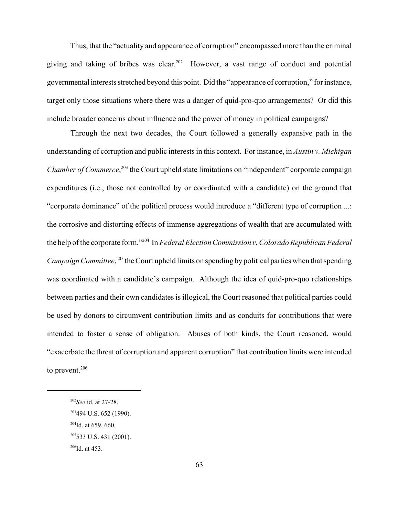Thus, that the "actuality and appearance of corruption" encompassed more than the criminal giving and taking of bribes was clear.<sup>202</sup> However, a vast range of conduct and potential governmental interests stretched beyond this point. Did the "appearance of corruption," for instance, target only those situations where there was a danger of quid-pro-quo arrangements? Or did this include broader concerns about influence and the power of money in political campaigns?

Through the next two decades, the Court followed a generally expansive path in the understanding of corruption and public interests in this context. For instance, in *Austin v. Michigan* Chamber of Commerce,<sup>203</sup> the Court upheld state limitations on "independent" corporate campaign expenditures (i.e., those not controlled by or coordinated with a candidate) on the ground that "corporate dominance" of the political process would introduce a "different type of corruption ...: the corrosive and distorting effects of immense aggregations of wealth that are accumulated with the help of the corporate form."204 In *Federal Election Commission v. Colorado Republican Federal* Campaign Committee,<sup>205</sup> the Court upheld limits on spending by political parties when that spending was coordinated with a candidate's campaign. Although the idea of quid-pro-quo relationships between parties and their own candidates is illogical, the Court reasoned that political parties could be used by donors to circumvent contribution limits and as conduits for contributions that were intended to foster a sense of obligation. Abuses of both kinds, the Court reasoned, would "exacerbate the threat of corruption and apparent corruption" that contribution limits were intended to prevent.<sup>206</sup>

<sup>202</sup>*See* id. at 27-28.

<sup>203494</sup> U.S. 652 (1990).

 $204$ Id. at 659, 660.

<sup>205533</sup> U.S. 431 (2001).

 $206$ Id. at 453.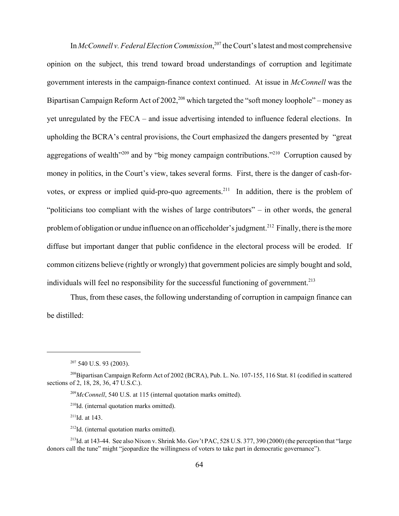In *McConnell v. Federal Election Commission*, 207 the Court's latest and most comprehensive opinion on the subject, this trend toward broad understandings of corruption and legitimate government interests in the campaign-finance context continued. At issue in *McConnell* was the Bipartisan Campaign Reform Act of  $2002$ ,  $208$  which targeted the "soft money loophole" – money as yet unregulated by the FECA – and issue advertising intended to influence federal elections. In upholding the BCRA's central provisions, the Court emphasized the dangers presented by "great aggregations of wealth<sup>"209</sup> and by "big money campaign contributions.<sup>"210</sup> Corruption caused by money in politics, in the Court's view, takes several forms. First, there is the danger of cash-forvotes, or express or implied quid-pro-quo agreements.<sup>211</sup> In addition, there is the problem of "politicians too compliant with the wishes of large contributors" – in other words, the general problem of obligation or undue influence on an officeholder's judgment.<sup>212</sup> Finally, there is the more diffuse but important danger that public confidence in the electoral process will be eroded. If common citizens believe (rightly or wrongly) that government policies are simply bought and sold, individuals will feel no responsibility for the successful functioning of government.<sup>213</sup>

Thus, from these cases, the following understanding of corruption in campaign finance can be distilled:

 $^{211}$ Id. at 143.

212Id. (internal quotation marks omitted).

<sup>213</sup>Id. at 143-44. See also Nixon v. Shrink Mo. Gov't PAC, 528 U.S. 377, 390 (2000) (the perception that "large donors call the tune" might "jeopardize the willingness of voters to take part in democratic governance").

 $207$  540 U.S. 93 (2003).

<sup>208</sup>Bipartisan Campaign Reform Act of 2002 (BCRA), Pub. L. No. 107-155, 116 Stat. 81 (codified in scattered sections of 2, 18, 28, 36, 47 U.S.C.).

<sup>209</sup>*McConnell*, 540 U.S. at 115 (internal quotation marks omitted).

<sup>210</sup>Id. (internal quotation marks omitted).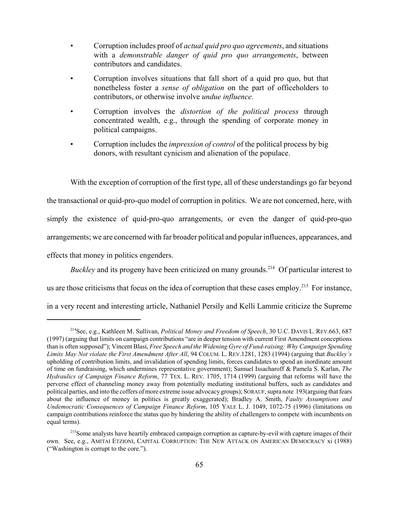- Corruption includes proof of *actual quid pro quo agreements*, and situations with a *demonstrable danger of quid pro quo arrangements*, between contributors and candidates.
- Corruption involves situations that fall short of a quid pro quo, but that nonetheless foster a *sense of obligation* on the part of officeholders to contributors, or otherwise involve *undue influence.*
- Corruption involves the *distortion of the political process* through concentrated wealth, e.g., through the spending of corporate money in political campaigns.
- Corruption includes the *impression of control* of the political process by big donors, with resultant cynicism and alienation of the populace.

With the exception of corruption of the first type, all of these understandings go far beyond the transactional or quid-pro-quo model of corruption in politics. We are not concerned, here, with simply the existence of quid-pro-quo arrangements, or even the danger of quid-pro-quo arrangements; we are concerned with far broader political and popular influences, appearances, and effects that money in politics engenders.

*Buckley* and its progeny have been criticized on many grounds.<sup>214</sup> Of particular interest to us are those criticisms that focus on the idea of corruption that these cases employ.<sup>215</sup> For instance, in a very recent and interesting article, Nathaniel Persily and Kelli Lammie criticize the Supreme

<sup>214</sup>See, e.g., Kathleen M. Sullivan, *Political Money and Freedom of Speech*, 30 U.C. DAVIS L. REV.663, 687 (1997) (arguing that limits on campaign contributions "are in deeper tension with current First Amendment conceptions than is often supposed"); Vincent Blasi, *Free Speech and the Widening Gyre of Fund-raising: Why Campaign Spending Limits May Not violate the First Amendment After All*, 94 COLUM. L. REV.1281, 1283 (1994) (arguing that *Buckley's* upholding of contribution limits, and invalidation of spending limits, forces candidates to spend an inordinate amount of time on fundraising, which undermines representative government); Samuel Issacharoff & Pamela S. Karlan, *The Hydraulics of Campaign Finance Reform*, 77 TEX. L. REV. 1705, 1714 (1999) (arguing that reforms will have the perverse effect of channeling money away from potentially mediating institutional buffers, such as candidates and political parties, and into the coffers of more extreme issue advocacy groups); SORAUF, supra note 193(arguing that fears about the influence of money in politics is greatly exaggerated); Bradley A. Smith, *Faulty Assumptions and Undemocratic Consequences of Campaign Finance Reform*, 105 YALE L. J. 1049, 1072-75 (1996) (limitations on campaign contributions reinforce the status quo by hindering the ability of challengers to compete with incumbents on equal terms).

<sup>&</sup>lt;sup>215</sup>Some analysts have heartily embraced campaign corruption as capture-by-evil with capture images of their own. See, e.g., AMITAI ETZIONI, CAPITAL CORRUPTION: THE NEW ATTACK ON AMERICAN DEMOCRACY xi (1988) ("Washington is corrupt to the core.").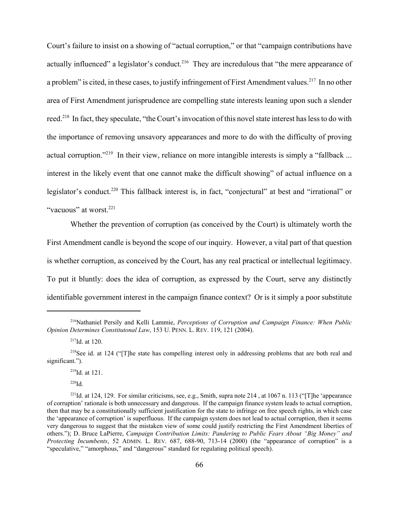Court's failure to insist on a showing of "actual corruption," or that "campaign contributions have actually influenced" a legislator's conduct.<sup>216</sup> They are incredulous that "the mere appearance of a problem" is cited, in these cases, to justify infringement of First Amendment values.<sup>217</sup> In no other area of First Amendment jurisprudence are compelling state interests leaning upon such a slender reed.218 In fact, they speculate, "the Court's invocation of this novel state interest has less to do with the importance of removing unsavory appearances and more to do with the difficulty of proving actual corruption."<sup>219</sup> In their view, reliance on more intangible interests is simply a "fallback ... interest in the likely event that one cannot make the difficult showing" of actual influence on a legislator's conduct.<sup>220</sup> This fallback interest is, in fact, "conjectural" at best and "irrational" or "vacuous" at worst. $221$ 

Whether the prevention of corruption (as conceived by the Court) is ultimately worth the First Amendment candle is beyond the scope of our inquiry. However, a vital part of that question is whether corruption, as conceived by the Court, has any real practical or intellectual legitimacy. To put it bluntly: does the idea of corruption, as expressed by the Court, serve any distinctly identifiable government interest in the campaign finance context? Or is it simply a poor substitute

 $219$ Id. at 121.

 $220$ Id.

<sup>216</sup>Nathaniel Persily and Kelli Lammie, *Perceptions of Corruption and Campaign Finance: When Public Opinion Determines Constitutonal Law*, 153 U. PENN. L. REV. 119, 121 (2004).

<sup>217</sup>Id. at 120.

<sup>&</sup>lt;sup>218</sup>See id. at 124 ("[T]he state has compelling interest only in addressing problems that are both real and significant.").

<sup>&</sup>lt;sup>221</sup>Id. at 124, 129. For similar criticisms, see, e.g., Smith, supra note 214, at 1067 n. 113 ("[T]he 'appearance of corruption' rationale is both unnecessary and dangerous. If the campaign finance system leads to actual corruption, then that may be a constitutionally sufficient justification for the state to infringe on free speech rights, in which case the 'appearance of corruption' is superfluous. If the campaign system does not lead to actual corruption, then it seems very dangerous to suggest that the mistaken view of some could justify restricting the First Amendment liberties of others."); D. Bruce LaPierre, *Campaign Contribution Limits: Pandering to Public Fears About "Big Money" and Protecting Incumbents*, 52 ADMIN. L. REV. 687, 688-90, 713-14 (2000) (the "appearance of corruption" is a "speculative," "amorphous," and "dangerous" standard for regulating political speech).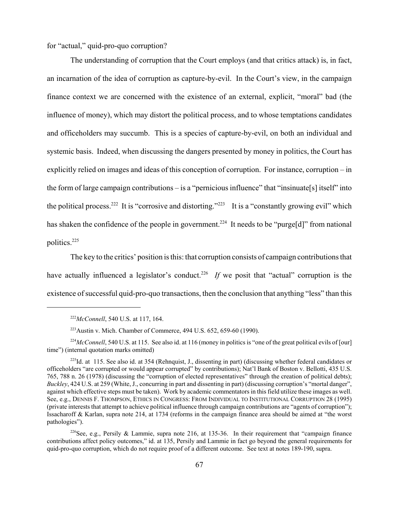for "actual," quid-pro-quo corruption?

The understanding of corruption that the Court employs (and that critics attack) is, in fact, an incarnation of the idea of corruption as capture-by-evil. In the Court's view, in the campaign finance context we are concerned with the existence of an external, explicit, "moral" bad (the influence of money), which may distort the political process, and to whose temptations candidates and officeholders may succumb. This is a species of capture-by-evil, on both an individual and systemic basis. Indeed, when discussing the dangers presented by money in politics, the Court has explicitly relied on images and ideas of this conception of corruption. For instance, corruption – in the form of large campaign contributions – is a "pernicious influence" that "insinuate[s] itself" into the political process.<sup>222</sup> It is "corrosive and distorting."<sup>223</sup> It is a "constantly growing evil" which has shaken the confidence of the people in government.<sup>224</sup> It needs to be "purge[d]" from national politics.225

The key to the critics' position is this: that corruption consists of campaign contributions that have actually influenced a legislator's conduct.<sup>226</sup> If we posit that "actual" corruption is the existence of successful quid-pro-quo transactions, then the conclusion that anything "less" than this

<sup>222</sup>*McConnell*, 540 U.S. at 117, 164.

<sup>223</sup>Austin v. Mich. Chamber of Commerce, 494 U.S. 652, 659-60 (1990).

<sup>&</sup>lt;sup>224</sup>McConnell, 540 U.S. at 115. See also id. at 116 (money in politics is "one of the great political evils of [our] time") (internal quotation marks omitted)

<sup>&</sup>lt;sup>225</sup>Id. at 115. See also id. at 354 (Rehnquist, J., dissenting in part) (discussing whether federal candidates or officeholders "are corrupted or would appear corrupted" by contributions); Nat'l Bank of Boston v. Bellotti, 435 U.S. 765, 788 n. 26 (1978) (discussing the "corruption of elected representatives" through the creation of political debts); *Buckley*, 424 U.S. at 259 (White, J., concurring in part and dissenting in part) (discussing corruption's "mortal danger", against which effective steps must be taken). Work by academic commentators in this field utilize these images as well. See, e.g., DENNIS F. THOMPSON, ETHICS IN CONGRESS: FROM INDIVIDUAL TO INSTITUTIONAL CORRUPTION 28 (1995) (private interests that attempt to achieve political influence through campaign contributions are "agents of corruption"); Issacharoff & Karlan, supra note 214, at 1734 (reforms in the campaign finance area should be aimed at "the worst pathologies").

<sup>&</sup>lt;sup>226</sup>See, e.g., Persily & Lammie, supra note 216, at 135-36. In their requirement that "campaign finance" contributions affect policy outcomes," id. at 135, Persily and Lammie in fact go beyond the general requirements for quid-pro-quo corruption, which do not require proof of a different outcome. See text at notes 189-190, supra.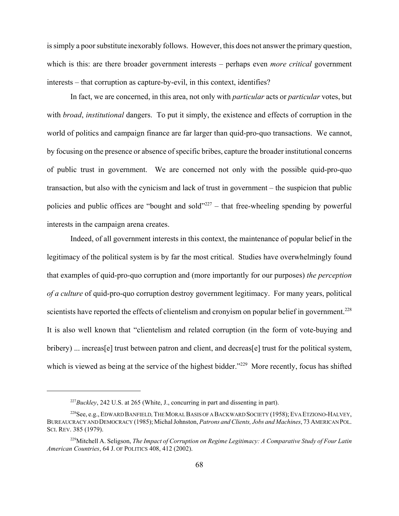is simply a poor substitute inexorably follows. However, this does not answer the primary question, which is this: are there broader government interests – perhaps even *more critical* government interests – that corruption as capture-by-evil, in this context, identifies?

In fact, we are concerned, in this area, not only with *particular* acts or *particular* votes, but with *broad*, *institutional* dangers. To put it simply, the existence and effects of corruption in the world of politics and campaign finance are far larger than quid-pro-quo transactions. We cannot, by focusing on the presence or absence of specific bribes, capture the broader institutional concerns of public trust in government. We are concerned not only with the possible quid-pro-quo transaction, but also with the cynicism and lack of trust in government – the suspicion that public policies and public offices are "bought and sold"<sup>227</sup> – that free-wheeling spending by powerful interests in the campaign arena creates.

Indeed, of all government interests in this context, the maintenance of popular belief in the legitimacy of the political system is by far the most critical. Studies have overwhelmingly found that examples of quid-pro-quo corruption and (more importantly for our purposes) *the perception of a culture* of quid-pro-quo corruption destroy government legitimacy. For many years, political scientists have reported the effects of clientelism and cronyism on popular belief in government.<sup>228</sup> It is also well known that "clientelism and related corruption (in the form of vote-buying and bribery) ... increas[e] trust between patron and client, and decreas[e] trust for the political system, which is viewed as being at the service of the highest bidder."<sup>229</sup> More recently, focus has shifted

<sup>227</sup>*Buckley*, 242 U.S. at 265 (White, J., concurring in part and dissenting in part).

<sup>228</sup>See, e.g., EDWARD BANFIELD*,*THE MORAL BASIS OF A BACKWARD SOCIETY (1958); EVA ETZIONO-HALVEY, BUREAUCRACY AND DEMOCRACY (1985); Michal Johnston, *Patrons and Clients, Jobs and Machines*, 73 AMERICAN POL. SCI. REV. 385 (1979).

<sup>229</sup>Mitchell A. Seligson, *The Impact of Corruption on Regime Legitimacy: A Comparative Study of Four Latin American Countries*, 64 J. OF POLITICS 408, 412 (2002).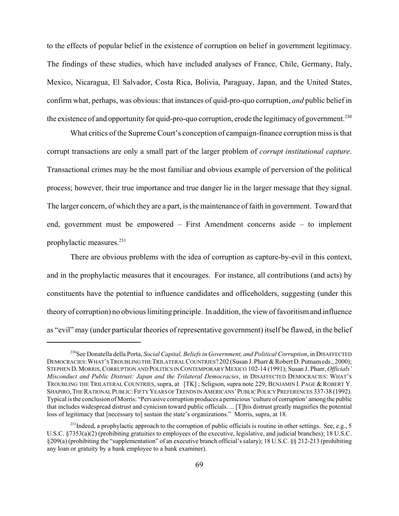to the effects of popular belief in the existence of corruption on belief in government legitimacy. The findings of these studies, which have included analyses of France, Chile, Germany, Italy, Mexico, Nicaragua, El Salvador, Costa Rica, Bolivia, Paraguay, Japan, and the United States, confirm what, perhaps, was obvious: that instances of quid-pro-quo corruption, *and* public belief in the existence of and opportunity for quid-pro-quo corruption, erode the legitimacy of government.<sup>230</sup>

What critics of the Supreme Court's conception of campaign-finance corruption miss is that corrupt transactions are only a small part of the larger problem of *corrupt institutional capture*. Transactional crimes may be the most familiar and obvious example of perversion of the political process; however, their true importance and true danger lie in the larger message that they signal. The larger concern, of which they are a part, is the maintenance of faith in government. Toward that end, government must be empowered – First Amendment concerns aside – to implement prophylactic measures.231

There are obvious problems with the idea of corruption as capture-by-evil in this context, and in the prophylactic measures that it encourages. For instance, all contributions (and acts) by constituents have the potential to influence candidates and officeholders, suggesting (under this theory of corruption) no obvious limiting principle. In addition, the view of favoritism and influence as "evil" may (under particular theories of representative government) itself be flawed, in the belief

<sup>230</sup>See Donatella della Porta, *Social Capital, Beliefs in Government, and Political Corruption*, in DISAFFECTED DEMOCRACIES: WHAT'S TROUBLING THE TRILATERAL COUNTRIES? 202 (Susan J. Pharr & Robert D. Putnam eds., 2000); STEPHEN D.MORRIS,CORRUPTION AND POLITICS IN CONTEMPORARY MEXICO 102-14 (1991); Susan J. Pharr, *Officials' Misconduct and Public Distrust: Japan and the Trilateral Democracies*, in DISAFFECTED DEMOCRACIES: WHAT'S TROUBLING THE TRILATERAL COUNTRIES, supra, at [TK] ; Seligson, supra note 229; BENJAMIN I. PAGE & ROBERT Y. SHAPIRO,THE RATIONAL PUBLIC:FIFTY YEARS OF TRENDS IN AMERICANS'PUBLIC POLICY PREFERENCES 337-38 (1992). Typical is the conclusion of Morris: "Pervasive corruption produces a pernicious 'culture of corruption' among the public that includes widespread distrust and cynicism toward public officials. ... [T]his distrust greatly magnifies the potential loss of legitimacy that [necessary to] sustain the state's organizations." Morris, supra, at 18.

<sup>&</sup>lt;sup>231</sup>Indeed, a prophylactic approach to the corruption of public officials is routine in other settings. See, e.g., 5 U.S.C. §7353(a)(2) (prohibiting gratuities to employees of the executive, legislative, and judicial branches); 18 U.S.C. §209(a) (prohibiting the "supplementation" of an executive branch official's salary); 18 U.S.C. §§ 212-213 (prohibiting any loan or gratuity by a bank employee to a bank examiner).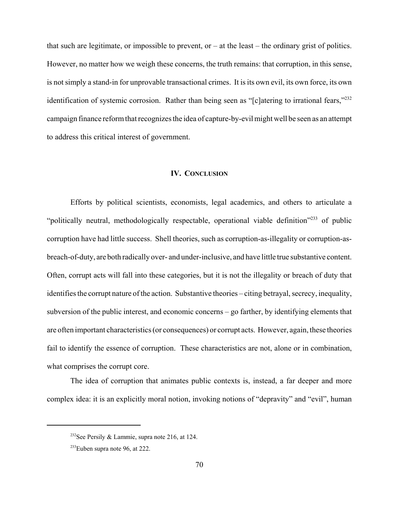that such are legitimate, or impossible to prevent, or  $-$  at the least  $-$  the ordinary grist of politics. However, no matter how we weigh these concerns, the truth remains: that corruption, in this sense, is not simply a stand-in for unprovable transactional crimes. It is its own evil, its own force, its own identification of systemic corrosion. Rather than being seen as "[c]atering to irrational fears."<sup>232</sup> campaign finance reform that recognizes the idea of capture-by-evil might well be seen as an attempt to address this critical interest of government.

### **IV. CONCLUSION**

Efforts by political scientists, economists, legal academics, and others to articulate a "politically neutral, methodologically respectable, operational viable definition"<sup>233</sup> of public corruption have had little success. Shell theories, such as corruption-as-illegality or corruption-asbreach-of-duty, are both radically over- and under-inclusive, and have little true substantive content. Often, corrupt acts will fall into these categories, but it is not the illegality or breach of duty that identifies the corrupt nature of the action. Substantive theories – citing betrayal, secrecy, inequality, subversion of the public interest, and economic concerns – go farther, by identifying elements that are often important characteristics (or consequences) or corrupt acts. However, again, these theories fail to identify the essence of corruption. These characteristics are not, alone or in combination, what comprises the corrupt core.

The idea of corruption that animates public contexts is, instead, a far deeper and more complex idea: it is an explicitly moral notion, invoking notions of "depravity" and "evil", human

<sup>232</sup>See Persily & Lammie, supra note 216, at 124.

 $233$ Euben supra note 96, at 222.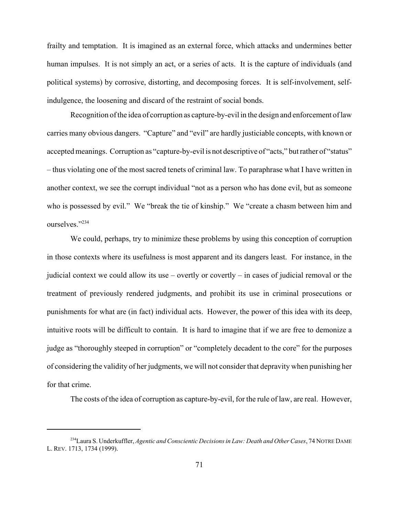frailty and temptation. It is imagined as an external force, which attacks and undermines better human impulses. It is not simply an act, or a series of acts. It is the capture of individuals (and political systems) by corrosive, distorting, and decomposing forces. It is self-involvement, selfindulgence, the loosening and discard of the restraint of social bonds.

Recognition of the idea of corruption as capture-by-evil in the design and enforcement of law carries many obvious dangers. "Capture" and "evil" are hardly justiciable concepts, with known or accepted meanings. Corruption as "capture-by-evil is not descriptive of "acts," but rather of "status" – thus violating one of the most sacred tenets of criminal law. To paraphrase what I have written in another context, we see the corrupt individual "not as a person who has done evil, but as someone who is possessed by evil." We "break the tie of kinship." We "create a chasm between him and ourselves."234

We could, perhaps, try to minimize these problems by using this conception of corruption in those contexts where its usefulness is most apparent and its dangers least. For instance, in the judicial context we could allow its use – overtly or covertly – in cases of judicial removal or the treatment of previously rendered judgments, and prohibit its use in criminal prosecutions or punishments for what are (in fact) individual acts. However, the power of this idea with its deep, intuitive roots will be difficult to contain. It is hard to imagine that if we are free to demonize a judge as "thoroughly steeped in corruption" or "completely decadent to the core" for the purposes of considering the validity of her judgments, we will not consider that depravity when punishing her for that crime.

The costs of the idea of corruption as capture-by-evil, for the rule of law, are real. However,

<sup>234</sup>Laura S. Underkuffler, *Agentic and Conscientic Decisions in Law: Death and Other Cases*, 74 NOTRE DAME L. REV. 1713, 1734 (1999).